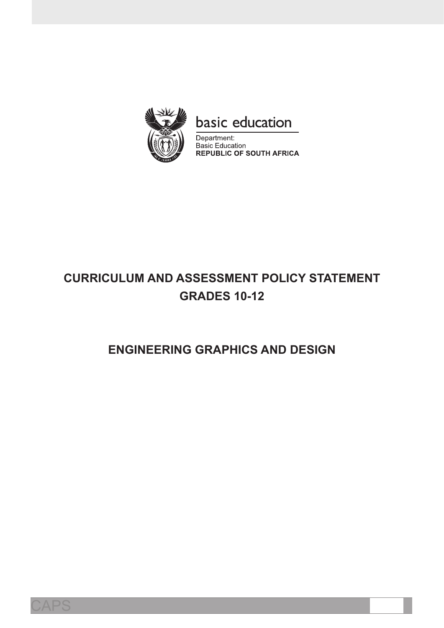

# basic education

Department: **Basic Education REPUBLIC OF SOUTH AFRICA** 

# **Curriculum and Assessment Policy Statement GRADES 10-12**

# **ENGINEERING GRAPHICS AND DESIGN**

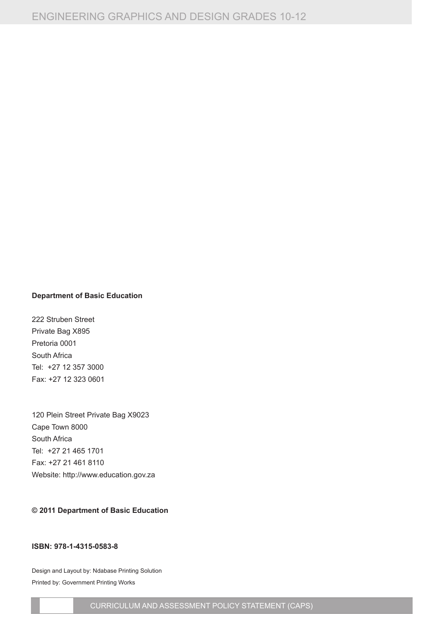#### **Department of Basic Education**

222 Struben Street Private Bag X895 Pretoria 0001 South Africa Tel: +27 12 357 3000 Fax: +27 12 323 0601

120 Plein Street Private Bag X9023 Cape Town 8000 South Africa Tel: +27 21 465 1701 Fax: +27 21 461 8110 Website: http://www.education.gov.za

#### **© 2011 Department of Basic Education**

#### **Isbn: 978-1-4315-0583-8**

Design and Layout by: Ndabase Printing Solution Printed by: Government Printing Works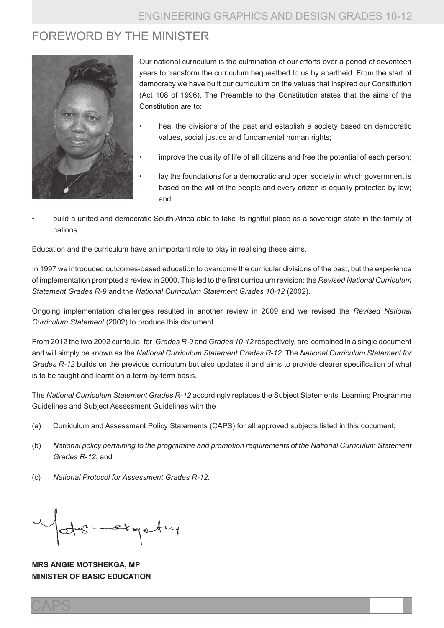# FOREWORD BY THE MINISTER



Our national curriculum is the culmination of our efforts over a period of seventeen years to transform the curriculum bequeathed to us by apartheid. From the start of democracy we have built our curriculum on the values that inspired our Constitution (Act 108 of 1996). The Preamble to the Constitution states that the aims of the Constitution are to:

- heal the divisions of the past and establish a society based on democratic values, social justice and fundamental human rights;
- improve the quality of life of all citizens and free the potential of each person;
- lay the foundations for a democratic and open society in which government is based on the will of the people and every citizen is equally protected by law; and
- build a united and democratic South Africa able to take its rightful place as a sovereign state in the family of nations.

Education and the curriculum have an important role to play in realising these aims.

In 1997 we introduced outcomes-based education to overcome the curricular divisions of the past, but the experience of implementation prompted a review in 2000. This led to the first curriculum revision: the *Revised National Curriculum Statement Grades R-9* and the *National Curriculum Statement Grades 10-12* (2002).

Ongoing implementation challenges resulted in another review in 2009 and we revised the *Revised National Curriculum Statement* (2002) to produce this document.

From 2012 the two 2002 curricula, for *Grades R-9* and *Grades 10-12* respectively, are combined in a single document and will simply be known as the *National Curriculum Statement Grades R-12.* the *National Curriculum Statement for Grades R-12* builds on the previous curriculum but also updates it and aims to provide clearer specification of what is to be taught and learnt on a term-by-term basis.

the *National Curriculum Statement Grades R-12* accordingly replaces the subject statements, Learning Programme Guidelines and subject Assessment Guidelines with the

- (a) Curriculum and Assessment Policy statements (CAPs) for all approved subjects listed in this document;
- (b) *National policy pertaining to the programme and promotion requirements of the National Curriculum Statement Grades R-12*; and
- (c) *National Protocol for Assessment Grades R-12.*

exgety

**MRS ANGIE MOTSHEKGA, MP MINISTER OF BASIC EDUCATION**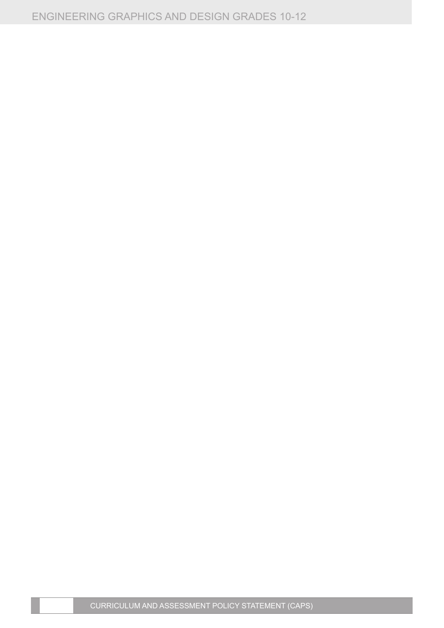CURRICULUM AND ASSESSMENT POLICY STATEMENT (CAPS)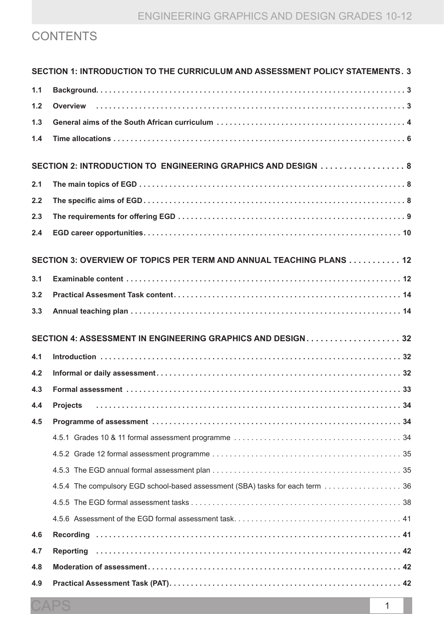# **CONTENTS**

|     | SECTION 1: INTRODUCTION TO THE CURRICULUM AND ASSESSMENT POLICY STATEMENTS. 3 |
|-----|-------------------------------------------------------------------------------|
| 1.1 |                                                                               |
| 1.2 |                                                                               |
| 1.3 |                                                                               |
| 1.4 |                                                                               |
|     | SECTION 2: INTRODUCTION TO ENGINEERING GRAPHICS AND DESIGN  8                 |
| 2.1 |                                                                               |
| 2.2 |                                                                               |
| 2.3 |                                                                               |
| 2.4 |                                                                               |
|     | SECTION 3: OVERVIEW OF TOPICS PER TERM AND ANNUAL TEACHING PLANS 12           |
| 3.1 |                                                                               |
| 3.2 |                                                                               |
| 3.3 |                                                                               |
|     |                                                                               |
|     | SECTION 4: ASSESSMENT IN ENGINEERING GRAPHICS AND DESIGN32                    |
| 4.1 |                                                                               |
| 4.2 |                                                                               |
| 4.3 |                                                                               |
| 4.4 | <b>Projects</b>                                                               |
| 4.5 |                                                                               |
|     |                                                                               |
|     |                                                                               |
|     |                                                                               |
|     | 4.5.4 The compulsory EGD school-based assessment (SBA) tasks for each term 36 |
|     |                                                                               |
|     |                                                                               |
| 4.6 |                                                                               |
| 4.7 |                                                                               |
| 4.8 |                                                                               |

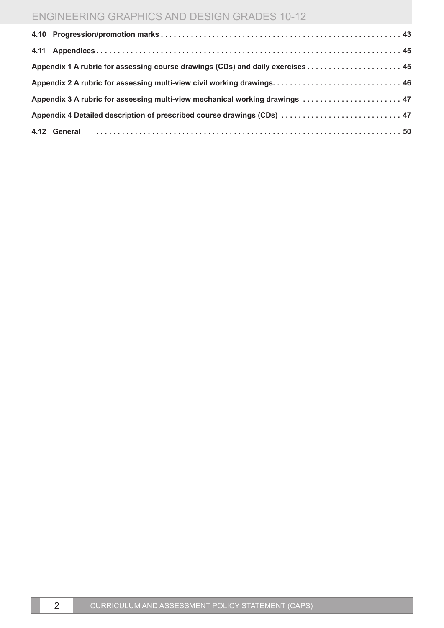| Appendix 3 A rubric for assessing multi-view mechanical working drawings  47 |
|------------------------------------------------------------------------------|
| Appendix 4 Detailed description of prescribed course drawings (CDs)  47      |
|                                                                              |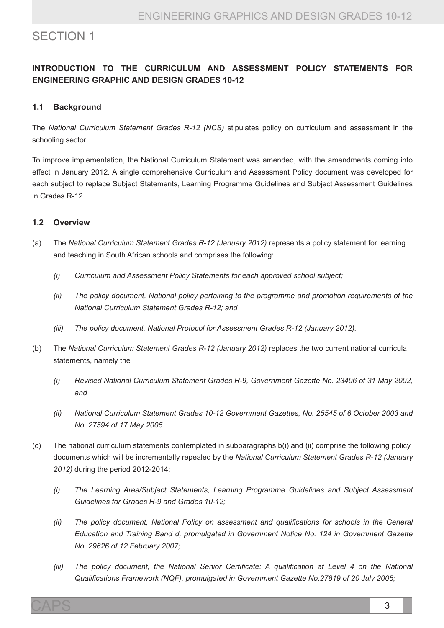## sECTION 1

### **INTRODUCTION TO THE Curriculum and Assessment Policy StatementS for ENGINEERING GRAPHIC AND DESIGN gradeS 10-12**

#### **1.1 Background**

The *National Curriculum Statement Grades R-12 (NCS)* stipulates policy on curriculum and assessment in the schooling sector.

To improve implementation, the National Curriculum Statement was amended, with the amendments coming into effect in January 2012. A single comprehensive Curriculum and Assessment Policy document was developed for each subject to replace Subject Statements, Learning Programme Guidelines and Subject Assessment Guidelines in Grades R-12.

#### **1.2 Overview**

- (a) The *National Curriculum Statement Grades R-12 (January 2012)* represents a policy statement for learning and teaching in South African schools and comprises the following:
	- *(i) Curriculum and Assessment Policy Statements for each approved school subject;*
	- *(ii) The policy document, National policy pertaining to the programme and promotion requirements of the National Curriculum Statement Grades R-12; and*
	- *(iii) The policy document, National Protocol for Assessment Grades R-12 (January 2012).*
- (b) The *National Curriculum Statement Grades R-12 (January 2012)* replaces the two current national curricula statements, namely the
	- *(i) Revised National Curriculum Statement Grades R-9, Government Gazette No. 23406 of 31 May 2002, and*
	- *(ii) National Curriculum Statement Grades 10-12 Government Gazettes, No. 25545 of 6 October 2003 and No. 27594 of 17 May 2005.*
- (c) The national curriculum statements contemplated in subparagraphs b(i) and (ii) comprise the following policy documents which will be incrementally repealed by the *National Curriculum Statement Grades R-12 (January 2012)* during the period 2012-2014:
	- *(i) The Learning Area/Subject Statements, Learning Programme Guidelines and Subject Assessment Guidelines for Grades R-9 and Grades 10-12;*
	- *(ii) The policy document, National Policy on assessment and qualifications for schools in the General Education and Training Band d, promulgated in Government Notice No. 124 in Government Gazette No. 29626 of 12 February 2007;*
	- *(iii) The policy document, the National Senior Certificate: A qualification at Level 4 on the National Qualifications Framework (NQF), promulgated in Government Gazette No.27819 of 20 July 2005;*

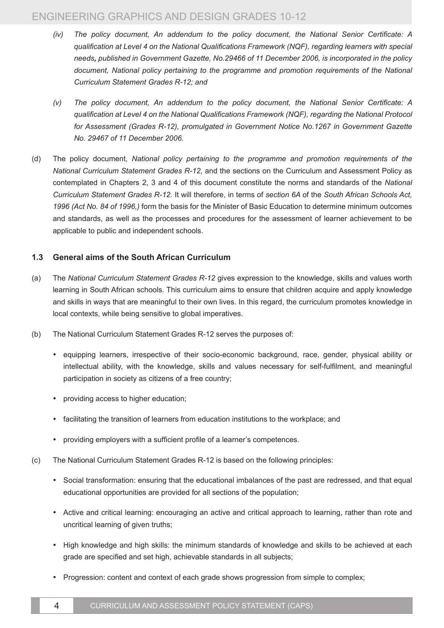- *(iv) The policy document, An addendum to the policy document, the National Senior Certificate: A qualification at Level 4 on the National Qualifications Framework (NQF), regarding learners with special needs, published in Government Gazette, No.29466 of 11 December 2006, is incorporated in the policy*  document. National policy pertaining to the programme and promotion requirements of the National *Curriculum Statement Grades R-12; and*
- *(v) The policy document, An addendum to the policy document, the National Senior Certificate: A qualification at Level 4 on the National Qualifications Framework (NQF), regarding the National Protocol for Assessment (Grades R-12), promulgated in Government Notice No.1267 in Government Gazette No. 29467 of 11 December 2006.*
- (d) The policy document, *National policy pertaining to the programme and promotion requirements of the National Curriculum Statement Grades R-12*, and the sections on the Curriculum and Assessment Policy as contemplated in Chapters 2, 3 and 4 of this document constitute the norms and standards of the *National Curriculum Statement Grades R-12.* It will therefore, in terms of *section 6A* of the *South African Schools Act, 1996 (Act No. 84 of 1996,)* form the basis for the Minister of Basic Education to determine minimum outcomes and standards, as well as the processes and procedures for the assessment of learner achievement to be applicable to public and independent schools.

#### **1.3 General aims of the South African Curriculum**

- (a) The *National Curriculum Statement Grades R-12* gives expression to the knowledge, skills and values worth learning in South African schools. This curriculum aims to ensure that children acquire and apply knowledge and skills in ways that are meaningful to their own lives. In this regard, the curriculum promotes knowledge in local contexts, while being sensitive to global imperatives.
- (b) The National Curriculum Statement Grades R-12 serves the purposes of:
	- • equipping learners, irrespective of their socio-economic background, race, gender, physical ability or intellectual ability, with the knowledge, skills and values necessary for self-fulfilment, and meaningful participation in society as citizens of a free country;
	- • providing access to higher education;
	- facilitating the transition of learners from education institutions to the workplace; and
	- providing employers with a sufficient profile of a learner's competences.
- (c) The National Curriculum Statement Grades R-12 is based on the following principles:
	- • Social transformation: ensuring that the educational imbalances of the past are redressed, and that equal educational opportunities are provided for all sections of the population;
	- • Active and critical learning: encouraging an active and critical approach to learning, rather than rote and uncritical learning of given truths;
	- • High knowledge and high skills: the minimum standards of knowledge and skills to be achieved at each grade are specified and set high, achievable standards in all subjects;
	- Progression: content and context of each grade shows progression from simple to complex;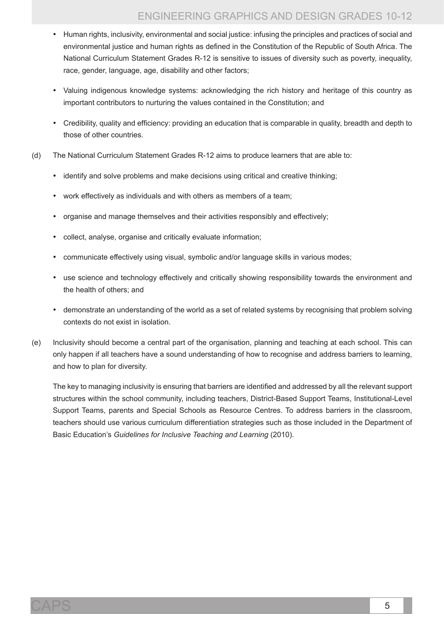- • Human rights, inclusivity, environmental and social justice: infusing the principles and practices of social and environmental justice and human rights as defined in the Constitution of the Republic of South Africa. The National Curriculum Statement Grades R-12 is sensitive to issues of diversity such as poverty, inequality, race, gender, language, age, disability and other factors;
- • Valuing indigenous knowledge systems: acknowledging the rich history and heritage of this country as important contributors to nurturing the values contained in the Constitution; and
- • Credibility, quality and efficiency: providing an education that is comparable in quality, breadth and depth to those of other countries.
- (d) The National Curriculum Statement Grades R-12 aims to produce learners that are able to:
	- identify and solve problems and make decisions using critical and creative thinking;
	- work effectively as individuals and with others as members of a team;
	- organise and manage themselves and their activities responsibly and effectively;
	- collect, analyse, organise and critically evaluate information;
	- communicate effectively using visual, symbolic and/or language skills in various modes;
	- • use science and technology effectively and critically showing responsibility towards the environment and the health of others; and
	- demonstrate an understanding of the world as a set of related systems by recognising that problem solving contexts do not exist in isolation.
- (e) Inclusivity should become a central part of the organisation, planning and teaching at each school. This can only happen if all teachers have a sound understanding of how to recognise and address barriers to learning, and how to plan for diversity.

The key to managing inclusivity is ensuring that barriers are identified and addressed by all the relevant support structures within the school community, including teachers, District-Based Support Teams, Institutional-Level Support Teams, parents and Special Schools as Resource Centres. To address barriers in the classroom, teachers should use various curriculum differentiation strategies such as those included in the Department of Basic Education's *Guidelines for Inclusive Teaching and Learning* (2010).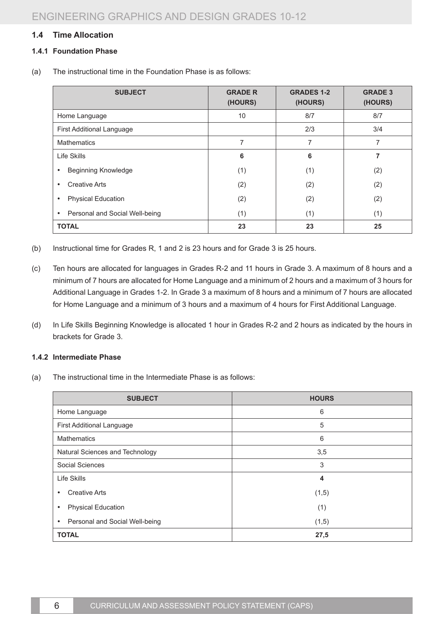#### **1.4 Time Allocation**

#### **1.4.1 Foundation Phase**

(a) The instructional time in the Foundation Phase is as follows:

| <b>SUBJECT</b>                              | <b>GRADE R</b><br>(HOURS) | <b>GRADES 1-2</b><br>(HOURS) | <b>GRADE 3</b><br>(HOURS) |
|---------------------------------------------|---------------------------|------------------------------|---------------------------|
| Home Language                               | 10                        | 8/7                          | 8/7                       |
| <b>First Additional Language</b>            |                           | 2/3                          | 3/4                       |
| <b>Mathematics</b>                          | 7                         | 7                            | 7                         |
| Life Skills                                 | 6                         | 6                            | 7                         |
| <b>Beginning Knowledge</b><br>$\bullet$     | (1)                       | (1)                          | (2)                       |
| <b>Creative Arts</b><br>$\bullet$           | (2)                       | (2)                          | (2)                       |
| <b>Physical Education</b><br>$\bullet$      | (2)                       | (2)                          | (2)                       |
| Personal and Social Well-being<br>$\bullet$ | (1)                       | (1)                          | (1)                       |
| <b>TOTAL</b>                                | 23                        | 23                           | 25                        |

- (b) Instructional time for Grades R, 1 and 2 is 23 hours and for Grade 3 is 25 hours.
- (c) Ten hours are allocated for languages in Grades R-2 and 11 hours in Grade 3. A maximum of 8 hours and a minimum of 7 hours are allocated for Home Language and a minimum of 2 hours and a maximum of 3 hours for Additional Language in Grades 1-2. In Grade 3 a maximum of 8 hours and a minimum of 7 hours are allocated for Home Language and a minimum of 3 hours and a maximum of 4 hours for First Additional Language.
- (d) In Life Skills Beginning Knowledge is allocated 1 hour in Grades R-2 and 2 hours as indicated by the hours in brackets for Grade 3.

#### **1.4.2 Intermediate Phase**

(a) The instructional time in the Intermediate Phase is as follows:

| <b>SUBJECT</b>                              | <b>HOURS</b> |
|---------------------------------------------|--------------|
| Home Language                               | 6            |
| <b>First Additional Language</b>            | 5            |
| <b>Mathematics</b>                          | 6            |
| Natural Sciences and Technology             | 3,5          |
| Social Sciences                             | 3            |
| Life Skills                                 | 4            |
| <b>Creative Arts</b><br>$\bullet$           | (1,5)        |
| <b>Physical Education</b><br>٠              | (1)          |
| Personal and Social Well-being<br>$\bullet$ | (1,5)        |
| <b>TOTAL</b>                                | 27,5         |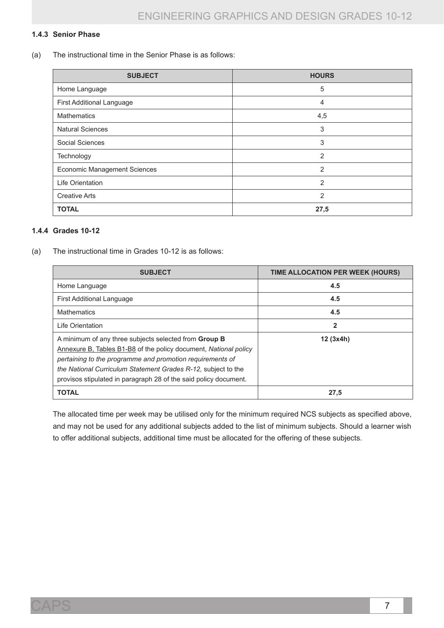#### **1.4.3 Senior Phase**

(a) The instructional time in the Senior Phase is as follows:

| <b>SUBJECT</b>                      | <b>HOURS</b>   |
|-------------------------------------|----------------|
| Home Language                       | 5              |
| <b>First Additional Language</b>    | 4              |
| <b>Mathematics</b>                  | 4,5            |
| <b>Natural Sciences</b>             | 3              |
| Social Sciences                     | 3              |
| Technology                          | $\overline{2}$ |
| <b>Economic Management Sciences</b> | 2              |
| Life Orientation                    | $\overline{2}$ |
| <b>Creative Arts</b>                | 2              |
| <b>TOTAL</b>                        | 27,5           |

#### **1.4.4 Grades 10-12**

(a) The instructional time in Grades 10-12 is as follows:

| <b>SUBJECT</b>                                                                                                                                                                                                                                                                                                              | TIME ALLOCATION PER WEEK (HOURS) |
|-----------------------------------------------------------------------------------------------------------------------------------------------------------------------------------------------------------------------------------------------------------------------------------------------------------------------------|----------------------------------|
| Home Language                                                                                                                                                                                                                                                                                                               | 4.5                              |
| <b>First Additional Language</b>                                                                                                                                                                                                                                                                                            | 4.5                              |
| <b>Mathematics</b>                                                                                                                                                                                                                                                                                                          | 4.5                              |
| Life Orientation                                                                                                                                                                                                                                                                                                            | $\overline{2}$                   |
| A minimum of any three subjects selected from Group B<br>Annexure B. Tables B1-B8 of the policy document, National policy<br>pertaining to the programme and promotion requirements of<br>the National Curriculum Statement Grades R-12, subject to the<br>provisos stipulated in paragraph 28 of the said policy document. | 12(3x4h)                         |
| <b>TOTAL</b>                                                                                                                                                                                                                                                                                                                | 27,5                             |

The allocated time per week may be utilised only for the minimum required NCS subjects as specified above, and may not be used for any additional subjects added to the list of minimum subjects. Should a learner wish to offer additional subjects, additional time must be allocated for the offering of these subjects.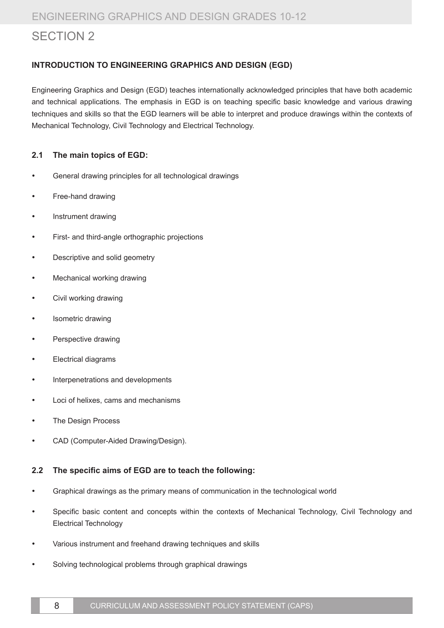## sECTION 2

#### **INTRODUCTION TO ENGINEERING GRAPHICS AND DESIGN (EGD)**

Engineering Graphics and Design (EGD) teaches internationally acknowledged principles that have both academic and technical applications. The emphasis in EGD is on teaching specific basic knowledge and various drawing techniques and skills so that the EGD learners will be able to interpret and produce drawings within the contexts of Mechanical Technology, Civil Technology and Electrical Technology.

#### **2.1 The main topics of EGD:**

- • General drawing principles for all technological drawings
- Free-hand drawing
- • Instrument drawing
- • First- and third-angle orthographic projections
- Descriptive and solid geometry
- Mechanical working drawing
- • Civil working drawing
- • Isometric drawing
- Perspective drawing
- **Electrical diagrams**
- Interpenetrations and developments
- Loci of helixes, cams and mechanisms
- **The Design Process**
- CAD (Computer-Aided Drawing/Design).

#### **2.2 The specific aims of EGD are to teach the following:**

- • Graphical drawings as the primary means of communication in the technological world
- Specific basic content and concepts within the contexts of Mechanical Technology, Civil Technology and Electrical Technology
- Various instrument and freehand drawing techniques and skills
- Solving technological problems through graphical drawings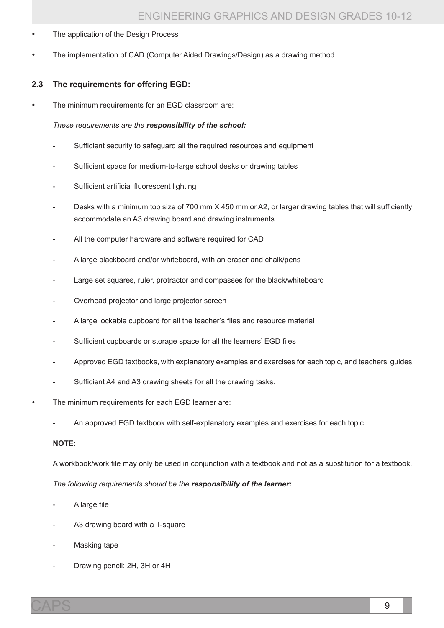- The application of the Design Process
- The implementation of CAD (Computer Aided Drawings/Design) as a drawing method.

#### **2.3 The requirements for offering EGD:**

The minimum requirements for an EGD classroom are:

#### *These requirements are the responsibility of the school:*

- Sufficient security to safeguard all the required resources and equipment
- Sufficient space for medium-to-large school desks or drawing tables
- Sufficient artificial fluorescent lighting
- Desks with a minimum top size of 700 mm X 450 mm or A2, or larger drawing tables that will sufficiently accommodate an A3 drawing board and drawing instruments
- All the computer hardware and software required for CAD
- A large blackboard and/or whiteboard, with an eraser and chalk/pens
- Large set squares, ruler, protractor and compasses for the black/whiteboard
- Overhead projector and large projector screen
- A large lockable cupboard for all the teacher's files and resource material
- Sufficient cupboards or storage space for all the learners' EGD files
- Approved EGD textbooks, with explanatory examples and exercises for each topic, and teachers' guides
- Sufficient A4 and A3 drawing sheets for all the drawing tasks.
- The minimum requirements for each EGD learner are:
	- An approved EGD textbook with self-explanatory examples and exercises for each topic

#### **NOTE:**

A workbook/work file may only be used in conjunction with a textbook and not as a substitution for a textbook.

*The following requirements should be the responsibility of the learner:*

- A large file
- A3 drawing board with a T-square
- Masking tape
- Drawing pencil: 2H, 3H or 4H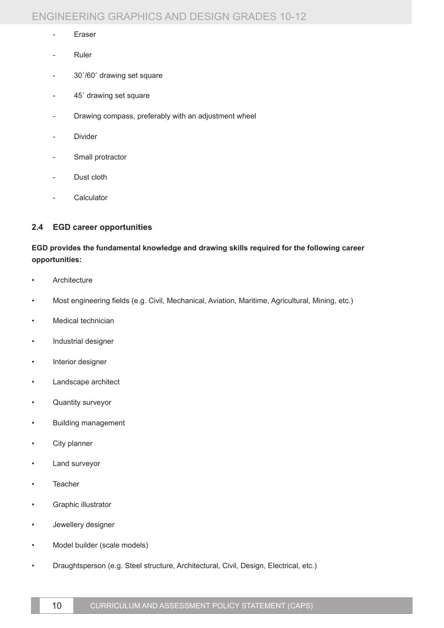- **Eraser**
- Ruler
- 30°/60° drawing set square
- 45˚ drawing set square
- Drawing compass, preferably with an adjustment wheel
- Divider
- Small protractor
- Dust cloth
- Calculator

#### **2.4 EGD career opportunities**

#### **EGD provides the fundamental knowledge and drawing skills required for the following career opportunities:**

- **Architecture**
- Most engineering fields (e.g. Civil, Mechanical, Aviation, Maritime, Agricultural, Mining, etc.)
- Medical technician
- Industrial designer
- Interior designer
- Landscape architect
- Quantity surveyor
- Building management
- City planner
- Land surveyor
- **Teacher**
- Graphic illustrator
- Jewellery designer
- Model builder (scale models)
- Draughtsperson (e.g. Steel structure, Architectural, Civil, Design, Electrical, etc.)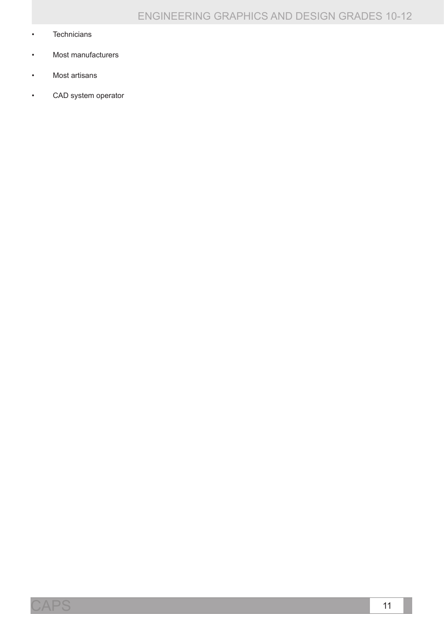- Technicians
- Most manufacturers
- Most artisans
- CAD system operator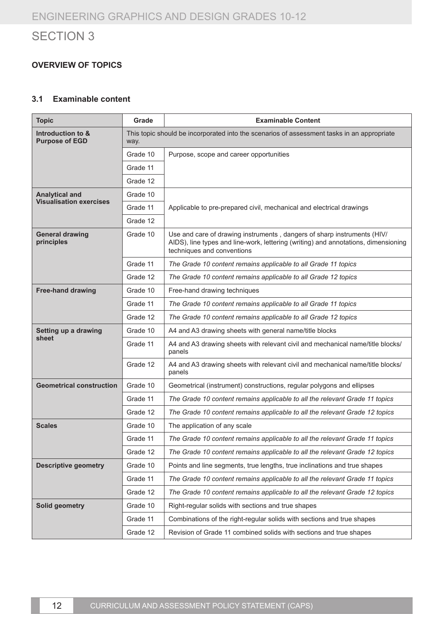# SECTION 3

#### **OVERVIEW OF TOPICS**

#### **3.1 Examinable content**

| Grade<br><b>Examinable Content</b><br><b>Topic</b> |                                                                                                    |                                                                                                                                                                                             |  |
|----------------------------------------------------|----------------------------------------------------------------------------------------------------|---------------------------------------------------------------------------------------------------------------------------------------------------------------------------------------------|--|
| Introduction to &<br><b>Purpose of EGD</b>         | This topic should be incorporated into the scenarios of assessment tasks in an appropriate<br>way. |                                                                                                                                                                                             |  |
|                                                    | Grade 10                                                                                           | Purpose, scope and career opportunities                                                                                                                                                     |  |
|                                                    | Grade 11                                                                                           |                                                                                                                                                                                             |  |
|                                                    | Grade 12                                                                                           |                                                                                                                                                                                             |  |
| <b>Analytical and</b>                              | Grade 10                                                                                           |                                                                                                                                                                                             |  |
| <b>Visualisation exercises</b>                     | Grade 11                                                                                           | Applicable to pre-prepared civil, mechanical and electrical drawings                                                                                                                        |  |
|                                                    | Grade 12                                                                                           |                                                                                                                                                                                             |  |
| <b>General drawing</b><br>principles               | Grade 10                                                                                           | Use and care of drawing instruments, dangers of sharp instruments (HIV/<br>AIDS), line types and line-work, lettering (writing) and annotations, dimensioning<br>techniques and conventions |  |
|                                                    | Grade 11                                                                                           | The Grade 10 content remains applicable to all Grade 11 topics                                                                                                                              |  |
|                                                    | Grade 12                                                                                           | The Grade 10 content remains applicable to all Grade 12 topics                                                                                                                              |  |
| <b>Free-hand drawing</b>                           | Grade 10                                                                                           | Free-hand drawing techniques                                                                                                                                                                |  |
|                                                    | Grade 11                                                                                           | The Grade 10 content remains applicable to all Grade 11 topics                                                                                                                              |  |
|                                                    | Grade 12                                                                                           | The Grade 10 content remains applicable to all Grade 12 topics                                                                                                                              |  |
| Setting up a drawing<br>sheet                      | Grade 10                                                                                           | A4 and A3 drawing sheets with general name/title blocks                                                                                                                                     |  |
|                                                    | Grade 11                                                                                           | A4 and A3 drawing sheets with relevant civil and mechanical name/title blocks/<br>panels                                                                                                    |  |
|                                                    | Grade 12                                                                                           | A4 and A3 drawing sheets with relevant civil and mechanical name/title blocks/<br>panels                                                                                                    |  |
| <b>Geometrical construction</b>                    | Grade 10                                                                                           | Geometrical (instrument) constructions, regular polygons and ellipses                                                                                                                       |  |
|                                                    | Grade 11                                                                                           | The Grade 10 content remains applicable to all the relevant Grade 11 topics                                                                                                                 |  |
|                                                    | Grade 12                                                                                           | The Grade 10 content remains applicable to all the relevant Grade 12 topics                                                                                                                 |  |
| <b>Scales</b>                                      | Grade 10                                                                                           | The application of any scale                                                                                                                                                                |  |
|                                                    | Grade 11                                                                                           | The Grade 10 content remains applicable to all the relevant Grade 11 topics                                                                                                                 |  |
|                                                    | Grade 12                                                                                           | The Grade 10 content remains applicable to all the relevant Grade 12 topics                                                                                                                 |  |
| <b>Descriptive geometry</b>                        | Grade 10                                                                                           | Points and line segments, true lengths, true inclinations and true shapes                                                                                                                   |  |
|                                                    | Grade 11                                                                                           | The Grade 10 content remains applicable to all the relevant Grade 11 topics                                                                                                                 |  |
|                                                    | Grade 12                                                                                           | The Grade 10 content remains applicable to all the relevant Grade 12 topics                                                                                                                 |  |
| Solid geometry                                     | Grade 10                                                                                           | Right-regular solids with sections and true shapes                                                                                                                                          |  |
|                                                    | Grade 11                                                                                           | Combinations of the right-regular solids with sections and true shapes                                                                                                                      |  |
|                                                    | Grade 12                                                                                           | Revision of Grade 11 combined solids with sections and true shapes                                                                                                                          |  |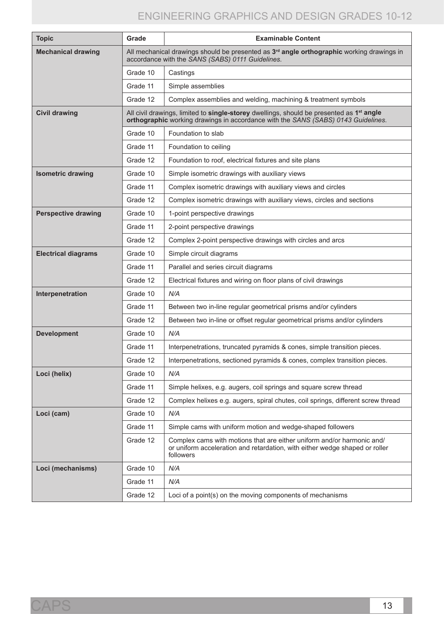| <b>Topic</b>               | Grade    | <b>Examinable Content</b>                                                                                                                                                                 |  |
|----------------------------|----------|-------------------------------------------------------------------------------------------------------------------------------------------------------------------------------------------|--|
| <b>Mechanical drawing</b>  |          | All mechanical drawings should be presented as $3rd$ angle orthographic working drawings in<br>accordance with the SANS (SABS) 0111 Guidelines.                                           |  |
|                            | Grade 10 | Castings                                                                                                                                                                                  |  |
|                            | Grade 11 | Simple assemblies                                                                                                                                                                         |  |
|                            | Grade 12 | Complex assemblies and welding, machining & treatment symbols                                                                                                                             |  |
| <b>Civil drawing</b>       |          | All civil drawings, limited to single-storey dwellings, should be presented as 1 <sup>st</sup> angle<br>orthographic working drawings in accordance with the SANS (SABS) 0143 Guidelines. |  |
|                            | Grade 10 | Foundation to slab                                                                                                                                                                        |  |
|                            | Grade 11 | Foundation to ceiling                                                                                                                                                                     |  |
|                            | Grade 12 | Foundation to roof, electrical fixtures and site plans                                                                                                                                    |  |
| <b>Isometric drawing</b>   | Grade 10 | Simple isometric drawings with auxiliary views                                                                                                                                            |  |
|                            | Grade 11 | Complex isometric drawings with auxiliary views and circles                                                                                                                               |  |
|                            | Grade 12 | Complex isometric drawings with auxiliary views, circles and sections                                                                                                                     |  |
| <b>Perspective drawing</b> | Grade 10 | 1-point perspective drawings                                                                                                                                                              |  |
|                            | Grade 11 | 2-point perspective drawings                                                                                                                                                              |  |
|                            | Grade 12 | Complex 2-point perspective drawings with circles and arcs                                                                                                                                |  |
| <b>Electrical diagrams</b> | Grade 10 | Simple circuit diagrams                                                                                                                                                                   |  |
|                            | Grade 11 | Parallel and series circuit diagrams                                                                                                                                                      |  |
|                            | Grade 12 | Electrical fixtures and wiring on floor plans of civil drawings                                                                                                                           |  |
| Interpenetration           | Grade 10 | N/A                                                                                                                                                                                       |  |
|                            | Grade 11 | Between two in-line regular geometrical prisms and/or cylinders                                                                                                                           |  |
|                            | Grade 12 | Between two in-line or offset regular geometrical prisms and/or cylinders                                                                                                                 |  |
| <b>Development</b>         | Grade 10 | N/A                                                                                                                                                                                       |  |
|                            | Grade 11 | Interpenetrations, truncated pyramids & cones, simple transition pieces.                                                                                                                  |  |
|                            | Grade 12 | Interpenetrations, sectioned pyramids & cones, complex transition pieces.                                                                                                                 |  |
| Loci (helix)               | Grade 10 | N/A                                                                                                                                                                                       |  |
|                            | Grade 11 | Simple helixes, e.g. augers, coil springs and square screw thread                                                                                                                         |  |
|                            | Grade 12 | Complex helixes e.g. augers, spiral chutes, coil springs, different screw thread                                                                                                          |  |
| Loci (cam)                 | Grade 10 | N/A                                                                                                                                                                                       |  |
|                            | Grade 11 | Simple cams with uniform motion and wedge-shaped followers                                                                                                                                |  |
|                            | Grade 12 | Complex cams with motions that are either uniform and/or harmonic and/<br>or uniform acceleration and retardation, with either wedge shaped or roller<br>followers                        |  |
| Loci (mechanisms)          | Grade 10 | N/A                                                                                                                                                                                       |  |
|                            | Grade 11 | N/A                                                                                                                                                                                       |  |
|                            | Grade 12 | Loci of a point(s) on the moving components of mechanisms                                                                                                                                 |  |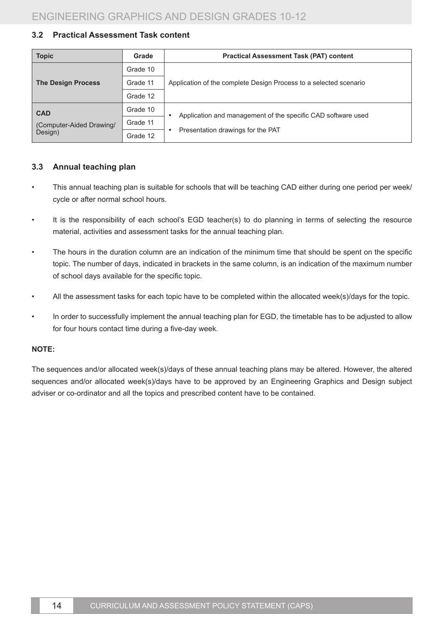#### **3.2 Practical Assessment Task content**

| <b>Topic</b>              | Grade    | <b>Practical Assessment Task (PAT) content</b>                    |  |
|---------------------------|----------|-------------------------------------------------------------------|--|
|                           | Grade 10 |                                                                   |  |
| <b>The Design Process</b> | Grade 11 | Application of the complete Design Process to a selected scenario |  |
|                           | Grade 12 |                                                                   |  |
| Grade 10<br><b>CAD</b>    |          | Application and management of the specific CAD software used      |  |
| (Computer-Aided Drawing/  | Grade 11 |                                                                   |  |
| Design)                   | Grade 12 | Presentation drawings for the PAT                                 |  |

#### **3.3 Annual teaching plan**

- This annual teaching plan is suitable for schools that will be teaching CAD either during one period per week/ cycle or after normal school hours.
- It is the responsibility of each school's EGD teacher(s) to do planning in terms of selecting the resource material, activities and assessment tasks for the annual teaching plan.
- The hours in the duration column are an indication of the minimum time that should be spent on the specific topic. The number of days, indicated in brackets in the same column, is an indication of the maximum number of school days available for the specific topic.
- All the assessment tasks for each topic have to be completed within the allocated week(s)/days for the topic.
- In order to successfully implement the annual teaching plan for EGD, the timetable has to be adjusted to allow for four hours contact time during a five-day week.

#### **NOTE:**

The sequences and/or allocated week(s)/days of these annual teaching plans may be altered. However, the altered sequences and/or allocated week(s)/days have to be approved by an Engineering Graphics and Design subject adviser or co-ordinator and all the topics and prescribed content have to be contained.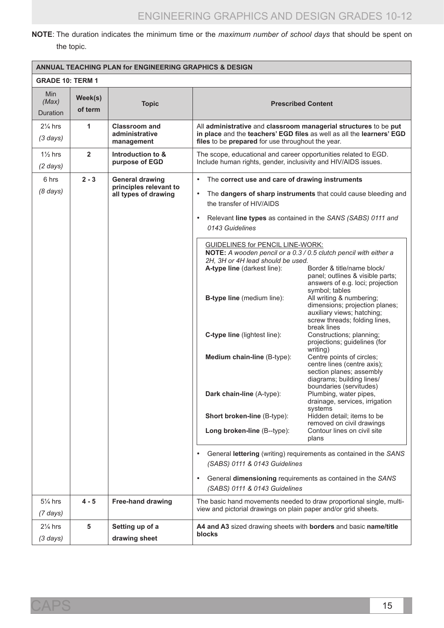### **NOTE**: The duration indicates the minimum time or the *maximum number of school days* that should be spent on the topic.

| <b>ANNUAL TEACHING PLAN for ENGINEERING GRAPHICS &amp; DESIGN</b> |                    |                                                                          |                                                                                                                                                                                                                                                                                                                                                                                                                                                                               |                                                                                                                                                                                                                                                                                                                                                                                                                                                                                                                                                                                                                                                                                                                                                                                                                                                                                                                                                                                                             |  |  |
|-------------------------------------------------------------------|--------------------|--------------------------------------------------------------------------|-------------------------------------------------------------------------------------------------------------------------------------------------------------------------------------------------------------------------------------------------------------------------------------------------------------------------------------------------------------------------------------------------------------------------------------------------------------------------------|-------------------------------------------------------------------------------------------------------------------------------------------------------------------------------------------------------------------------------------------------------------------------------------------------------------------------------------------------------------------------------------------------------------------------------------------------------------------------------------------------------------------------------------------------------------------------------------------------------------------------------------------------------------------------------------------------------------------------------------------------------------------------------------------------------------------------------------------------------------------------------------------------------------------------------------------------------------------------------------------------------------|--|--|
| <b>GRADE 10: TERM 1</b>                                           |                    |                                                                          |                                                                                                                                                                                                                                                                                                                                                                                                                                                                               |                                                                                                                                                                                                                                                                                                                                                                                                                                                                                                                                                                                                                                                                                                                                                                                                                                                                                                                                                                                                             |  |  |
| <b>Min</b><br>(Max)<br>Duration                                   | Week(s)<br>of term | <b>Topic</b>                                                             | <b>Prescribed Content</b>                                                                                                                                                                                                                                                                                                                                                                                                                                                     |                                                                                                                                                                                                                                                                                                                                                                                                                                                                                                                                                                                                                                                                                                                                                                                                                                                                                                                                                                                                             |  |  |
| $2\frac{1}{4}$ hrs<br>$(3 \text{ days})$                          | 1                  | <b>Classroom and</b><br>administrative<br>management                     |                                                                                                                                                                                                                                                                                                                                                                                                                                                                               | All administrative and classroom managerial structures to be put<br>in place and the teachers' EGD files as well as all the learners' EGD<br>files to be prepared for use throughout the year.                                                                                                                                                                                                                                                                                                                                                                                                                                                                                                                                                                                                                                                                                                                                                                                                              |  |  |
| $1\frac{1}{2}$ hrs<br>$(2 \; days)$                               | $\overline{2}$     | Introduction to &<br>purpose of EGD                                      | The scope, educational and career opportunities related to EGD.<br>Include human rights, gender, inclusivity and HIV/AIDS issues.                                                                                                                                                                                                                                                                                                                                             |                                                                                                                                                                                                                                                                                                                                                                                                                                                                                                                                                                                                                                                                                                                                                                                                                                                                                                                                                                                                             |  |  |
| 6 hrs<br>$(8 \text{ days})$                                       | $2 - 3$            | <b>General drawing</b><br>principles relevant to<br>all types of drawing | The correct use and care of drawing instruments<br>$\bullet$<br>$\bullet$<br>the transfer of HIV/AIDS<br>0143 Guidelines<br><b>GUIDELINES for PENCIL LINE-WORK:</b><br>2H, 3H or 4H lead should be used.<br>A-type line (darkest line):<br>B-type line (medium line):<br>C-type line (lightest line):<br>Medium chain-line (B-type):<br>Dark chain-line (A-type):<br>Short broken-line (B-type):<br>Long broken-line (B--type):<br>(SABS) 0111 & 0143 Guidelines<br>$\bullet$ | The dangers of sharp instruments that could cause bleeding and<br>Relevant line types as contained in the SANS (SABS) 0111 and<br>NOTE: A wooden pencil or a 0.3 / 0.5 clutch pencil with either a<br>Border & title/name block/<br>panel; outlines & visible parts;<br>answers of e.g. loci; projection<br>symbol; tables<br>All writing & numbering;<br>dimensions; projection planes;<br>auxiliary views; hatching;<br>screw threads; folding lines,<br>break lines<br>Constructions; planning;<br>projections; guidelines (for<br>writing)<br>Centre points of circles;<br>centre lines (centre axis);<br>section planes; assembly<br>diagrams; building lines/<br>boundaries (servitudes)<br>Plumbing, water pipes,<br>drainage, services, irrigation<br>systems<br>Hidden detail; items to be<br>removed on civil drawings<br>Contour lines on civil site<br>plans<br>General lettering (writing) requirements as contained in the SANS<br>General dimensioning requirements as contained in the SANS |  |  |
| $5\%$ hrs                                                         | $4 - 5$            | Free-hand drawing                                                        | (SABS) 0111 & 0143 Guidelines<br>view and pictorial drawings on plain paper and/or grid sheets.                                                                                                                                                                                                                                                                                                                                                                               | The basic hand movements needed to draw proportional single, multi-                                                                                                                                                                                                                                                                                                                                                                                                                                                                                                                                                                                                                                                                                                                                                                                                                                                                                                                                         |  |  |
| (7 days)<br>$2\frac{1}{4}$ hrs<br>$(3$ days)                      | 5                  | Setting up of a<br>drawing sheet                                         | A4 and A3 sized drawing sheets with borders and basic name/title<br>blocks                                                                                                                                                                                                                                                                                                                                                                                                    |                                                                                                                                                                                                                                                                                                                                                                                                                                                                                                                                                                                                                                                                                                                                                                                                                                                                                                                                                                                                             |  |  |

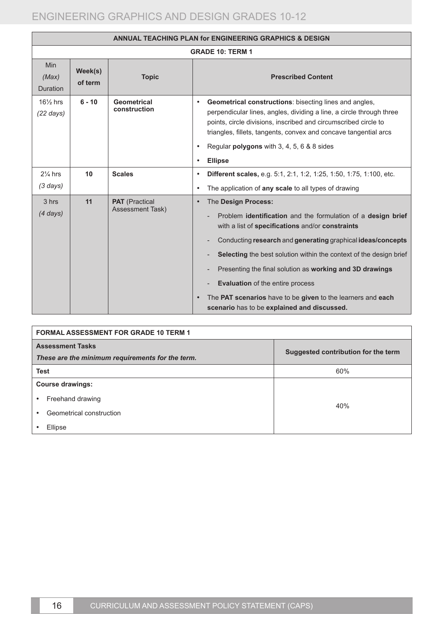| <b>ANNUAL TEACHING PLAN for ENGINEERING GRAPHICS &amp; DESIGN</b> |                         |                                           |                                                                                                                                                                                                                                                                                                                                                                                                                                                                                                   |  |
|-------------------------------------------------------------------|-------------------------|-------------------------------------------|---------------------------------------------------------------------------------------------------------------------------------------------------------------------------------------------------------------------------------------------------------------------------------------------------------------------------------------------------------------------------------------------------------------------------------------------------------------------------------------------------|--|
|                                                                   | <b>GRADE 10: TERM 1</b> |                                           |                                                                                                                                                                                                                                                                                                                                                                                                                                                                                                   |  |
| Min<br>(Max)<br><b>Duration</b>                                   | Week(s)<br>of term      | <b>Topic</b>                              | <b>Prescribed Content</b>                                                                                                                                                                                                                                                                                                                                                                                                                                                                         |  |
| $16\frac{1}{2}$ hrs<br>$(22 \text{ days})$                        | $6 - 10$                | <b>Geometrical</b><br>construction        | <b>Geometrical constructions:</b> bisecting lines and angles,<br>$\bullet$<br>perpendicular lines, angles, dividing a line, a circle through three<br>points, circle divisions, inscribed and circumscribed circle to<br>triangles, fillets, tangents, convex and concave tangential arcs<br>Regular polygons with 3, 4, 5, 6 & 8 sides<br><b>Ellipse</b><br>$\bullet$                                                                                                                            |  |
| $2\frac{1}{4}$ hrs<br>$(3$ days)                                  | 10                      | <b>Scales</b>                             | <b>Different scales, e.g. 5:1, 2:1, 1:2, 1:25, 1:50, 1:75, 1:100, etc.</b><br>$\bullet$<br>The application of any scale to all types of drawing<br>$\bullet$                                                                                                                                                                                                                                                                                                                                      |  |
| 3 hrs<br>$(4 \text{ days})$                                       | 11                      | <b>PAT</b> (Practical<br>Assessment Task) | The Design Process:<br>Problem identification and the formulation of a design brief<br>with a list of specifications and/or constraints<br>Conducting research and generating graphical ideas/concepts<br>Selecting the best solution within the context of the design brief<br>Presenting the final solution as working and 3D drawings<br><b>Evaluation of the entire process</b><br>The PAT scenarios have to be given to the learners and each<br>scenario has to be explained and discussed. |  |

| <b>FORMAL ASSESSMENT FOR GRADE 10 TERM 1</b>     |                                     |  |  |
|--------------------------------------------------|-------------------------------------|--|--|
| <b>Assessment Tasks</b>                          | Suggested contribution for the term |  |  |
| These are the minimum requirements for the term. |                                     |  |  |
| <b>Test</b>                                      | 60%                                 |  |  |
| <b>Course drawings:</b>                          |                                     |  |  |
| Freehand drawing<br>٠                            | 40%                                 |  |  |
| Geometrical construction                         |                                     |  |  |
| Ellipse                                          |                                     |  |  |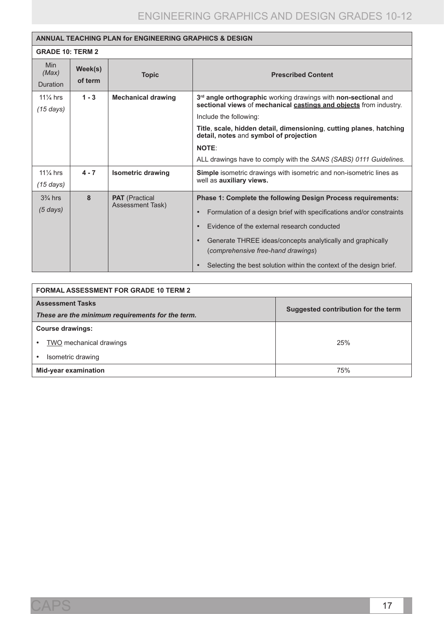| <b>ANNUAL TEACHING PLAN for ENGINEERING GRAPHICS &amp; DESIGN</b> |                         |                           |                                                                                                                                     |  |  |
|-------------------------------------------------------------------|-------------------------|---------------------------|-------------------------------------------------------------------------------------------------------------------------------------|--|--|
|                                                                   | <b>GRADE 10: TERM 2</b> |                           |                                                                                                                                     |  |  |
| Min<br>(Max)<br>Duration                                          | Week(s)<br>of term      | <b>Topic</b>              | <b>Prescribed Content</b>                                                                                                           |  |  |
| $11\%$ hrs<br>$(15 \text{ days})$                                 | $1 - 3$                 | <b>Mechanical drawing</b> | 3rd angle orthographic working drawings with non-sectional and<br>sectional views of mechanical castings and objects from industry. |  |  |
|                                                                   |                         |                           | Include the following:                                                                                                              |  |  |
|                                                                   |                         |                           | Title, scale, hidden detail, dimensioning, cutting planes, hatching<br>detail, notes and symbol of projection                       |  |  |
|                                                                   | NOTE:                   |                           |                                                                                                                                     |  |  |
|                                                                   |                         |                           | ALL drawings have to comply with the SANS (SABS) 0111 Guidelines.                                                                   |  |  |
| $11\frac{1}{4}$ hrs<br>$(15 \text{ days})$                        | $4 - 7$                 | <b>Isometric drawing</b>  | <b>Simple isometric drawings with isometric and non-isometric lines as</b><br>well as auxiliary views.                              |  |  |
| $3\%$ hrs                                                         | 8                       | <b>PAT</b> (Practical     | <b>Phase 1: Complete the following Design Process requirements:</b>                                                                 |  |  |
| $(5 \text{ days})$                                                | Assessment Task)        |                           | Formulation of a design brief with specifications and/or constraints<br>$\bullet$                                                   |  |  |
|                                                                   |                         |                           | Evidence of the external research conducted                                                                                         |  |  |
|                                                                   |                         |                           | Generate THREE ideas/concepts analytically and graphically<br>(comprehensive free-hand drawings)                                    |  |  |
|                                                                   |                         |                           | Selecting the best solution within the context of the design brief.                                                                 |  |  |

| <b>FORMAL ASSESSMENT FOR GRADE 10 TERM 2</b>     |                                     |  |  |
|--------------------------------------------------|-------------------------------------|--|--|
| <b>Assessment Tasks</b>                          | Suggested contribution for the term |  |  |
| These are the minimum requirements for the term. |                                     |  |  |
| <b>Course drawings:</b>                          |                                     |  |  |
| TWO mechanical drawings                          | 25%                                 |  |  |
| Isometric drawing                                |                                     |  |  |
| <b>Mid-year examination</b>                      | 75%                                 |  |  |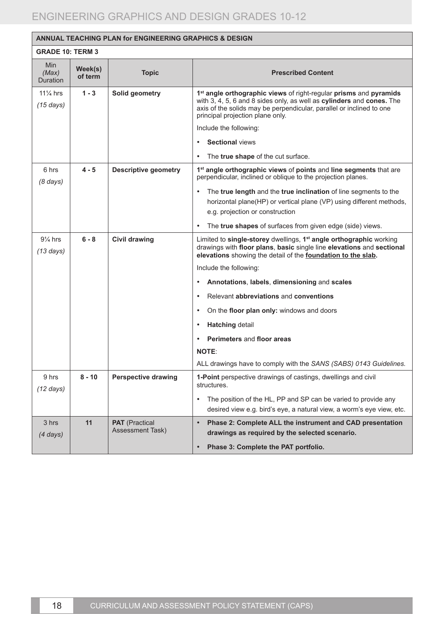| <b>ANNUAL TEACHING PLAN for ENGINEERING GRAPHICS &amp; DESIGN</b> |                         |                                           |                                                                                                                                                                                                                                                                    |  |
|-------------------------------------------------------------------|-------------------------|-------------------------------------------|--------------------------------------------------------------------------------------------------------------------------------------------------------------------------------------------------------------------------------------------------------------------|--|
|                                                                   | <b>GRADE 10: TERM 3</b> |                                           |                                                                                                                                                                                                                                                                    |  |
| <b>Min</b><br>(Max)<br>Duration                                   | Week(s)<br>of term      | <b>Topic</b>                              | <b>Prescribed Content</b>                                                                                                                                                                                                                                          |  |
| $11\frac{1}{4}$ hrs<br>$(15 \text{ days})$                        | $1 - 3$                 | Solid geometry                            | 1 <sup>st</sup> angle orthographic views of right-regular prisms and pyramids<br>with 3, 4, 5, 6 and 8 sides only, as well as cylinders and cones. The<br>axis of the solids may be perpendicular, parallel or inclined to one<br>principal projection plane only. |  |
|                                                                   |                         |                                           | Include the following:                                                                                                                                                                                                                                             |  |
|                                                                   |                         |                                           | <b>Sectional views</b><br>$\bullet$                                                                                                                                                                                                                                |  |
|                                                                   |                         |                                           | The true shape of the cut surface.<br>$\bullet$                                                                                                                                                                                                                    |  |
| 6 hrs<br>(8 days)                                                 | $4 - 5$                 | <b>Descriptive geometry</b>               | 1 <sup>st</sup> angle orthographic views of points and line segments that are<br>perpendicular, inclined or oblique to the projection planes.                                                                                                                      |  |
|                                                                   |                         |                                           | The true length and the true inclination of line segments to the<br>$\bullet$                                                                                                                                                                                      |  |
|                                                                   |                         |                                           | horizontal plane(HP) or vertical plane (VP) using different methods,                                                                                                                                                                                               |  |
|                                                                   |                         |                                           | e.g. projection or construction                                                                                                                                                                                                                                    |  |
|                                                                   |                         |                                           | The true shapes of surfaces from given edge (side) views.<br>$\bullet$                                                                                                                                                                                             |  |
| $9\frac{1}{4}$ hrs<br>$(13 \text{ days})$                         | $6 - 8$                 | <b>Civil drawing</b>                      | Limited to single-storey dwellings, 1 <sup>st</sup> angle orthographic working<br>drawings with floor plans, basic single line elevations and sectional<br>elevations showing the detail of the foundation to the slab.                                            |  |
|                                                                   |                         |                                           | Include the following:                                                                                                                                                                                                                                             |  |
|                                                                   |                         |                                           | Annotations, labels, dimensioning and scales<br>$\bullet$                                                                                                                                                                                                          |  |
|                                                                   |                         |                                           | Relevant abbreviations and conventions<br>$\bullet$                                                                                                                                                                                                                |  |
|                                                                   |                         |                                           | On the floor plan only: windows and doors<br>$\bullet$                                                                                                                                                                                                             |  |
|                                                                   |                         |                                           | <b>Hatching detail</b><br>$\bullet$                                                                                                                                                                                                                                |  |
|                                                                   |                         |                                           | Perimeters and floor areas<br>$\bullet$                                                                                                                                                                                                                            |  |
|                                                                   |                         |                                           | <b>NOTE:</b>                                                                                                                                                                                                                                                       |  |
|                                                                   |                         |                                           | ALL drawings have to comply with the SANS (SABS) 0143 Guidelines.                                                                                                                                                                                                  |  |
| 9 hrs<br>$(12 \text{ days})$                                      | $8 - 10$                | <b>Perspective drawing</b>                | 1-Point perspective drawings of castings, dwellings and civil<br>structures.                                                                                                                                                                                       |  |
|                                                                   |                         |                                           | The position of the HL, PP and SP can be varied to provide any<br>$\bullet$<br>desired view e.g. bird's eye, a natural view, a worm's eye view, etc.                                                                                                               |  |
| 3 hrs<br>$(4 \text{ days})$                                       | 11                      | <b>PAT</b> (Practical<br>Assessment Task) | Phase 2: Complete ALL the instrument and CAD presentation<br>$\bullet$<br>drawings as required by the selected scenario.                                                                                                                                           |  |
|                                                                   |                         |                                           | Phase 3: Complete the PAT portfolio.<br>$\bullet$                                                                                                                                                                                                                  |  |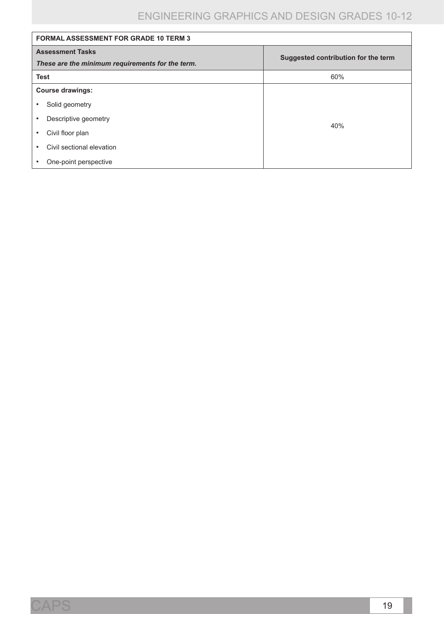| <b>FORMAL ASSESSMENT FOR GRADE 10 TERM 3</b>                                |                                     |  |  |  |
|-----------------------------------------------------------------------------|-------------------------------------|--|--|--|
| <b>Assessment Tasks</b><br>These are the minimum requirements for the term. | Suggested contribution for the term |  |  |  |
| <b>Test</b>                                                                 | 60%                                 |  |  |  |
| <b>Course drawings:</b>                                                     |                                     |  |  |  |
| Solid geometry                                                              |                                     |  |  |  |
| Descriptive geometry                                                        |                                     |  |  |  |
| 40%<br>Civil floor plan                                                     |                                     |  |  |  |
| Civil sectional elevation                                                   |                                     |  |  |  |
| One-point perspective                                                       |                                     |  |  |  |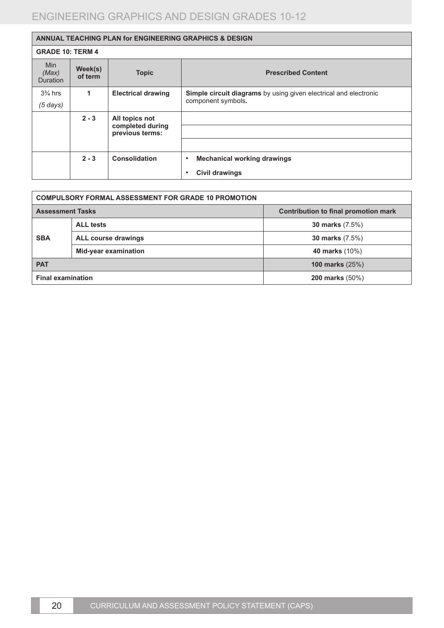| <b>ANNUAL TEACHING PLAN for ENGINEERING GRAPHICS &amp; DESIGN</b> |                         |                                                       |                                                                                        |  |  |
|-------------------------------------------------------------------|-------------------------|-------------------------------------------------------|----------------------------------------------------------------------------------------|--|--|
|                                                                   | <b>GRADE 10: TERM 4</b> |                                                       |                                                                                        |  |  |
| <b>Min</b><br>(Max)<br><b>Duration</b>                            | Week(s)<br>of term      | <b>Topic</b>                                          | <b>Prescribed Content</b>                                                              |  |  |
| $3\%$ hrs<br>$(5 \, days)$                                        | 1                       | <b>Electrical drawing</b>                             | Simple circuit diagrams by using given electrical and electronic<br>component symbols. |  |  |
|                                                                   | $2 - 3$                 | All topics not<br>completed during<br>previous terms: |                                                                                        |  |  |
|                                                                   | $2 - 3$                 | <b>Consolidation</b>                                  | <b>Mechanical working drawings</b><br><b>Civil drawings</b>                            |  |  |

| <b>COMPULSORY FORMAL ASSESSMENT FOR GRADE 10 PROMOTION</b> |                             |                                             |  |  |
|------------------------------------------------------------|-----------------------------|---------------------------------------------|--|--|
| <b>Assessment Tasks</b>                                    |                             | <b>Contribution to final promotion mark</b> |  |  |
|                                                            | <b>ALL tests</b>            | <b>30 marks</b> (7.5%)                      |  |  |
| <b>SBA</b>                                                 | <b>ALL course drawings</b>  | <b>30 marks</b> (7.5%)                      |  |  |
|                                                            | <b>Mid-year examination</b> | <b>40 marks</b> (10%)                       |  |  |
| <b>PAT</b>                                                 |                             | <b>100 marks</b> (25%)                      |  |  |
| <b>Final examination</b>                                   |                             | <b>200 marks</b> (50%)                      |  |  |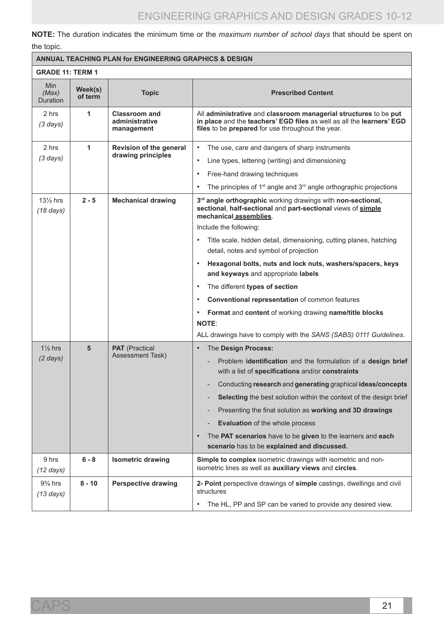**NOTE:** The duration indicates the minimum time or the *maximum number of school days* that should be spent on the topic.

| <b>ANNUAL TEACHING PLAN for ENGINEERING GRAPHICS &amp; DESIGN</b> |                     |                                                        |                                                                                                                                                                                                                                                                                                                                                                                                                                                                                                                                                                                                                                                      |
|-------------------------------------------------------------------|---------------------|--------------------------------------------------------|------------------------------------------------------------------------------------------------------------------------------------------------------------------------------------------------------------------------------------------------------------------------------------------------------------------------------------------------------------------------------------------------------------------------------------------------------------------------------------------------------------------------------------------------------------------------------------------------------------------------------------------------------|
| <b>GRADE 11: TERM 1</b>                                           |                     |                                                        |                                                                                                                                                                                                                                                                                                                                                                                                                                                                                                                                                                                                                                                      |
| <b>Min</b><br>(Max)<br><b>Duration</b>                            | Week(s)<br>of term  | <b>Topic</b>                                           | <b>Prescribed Content</b>                                                                                                                                                                                                                                                                                                                                                                                                                                                                                                                                                                                                                            |
| 2 hrs<br>$(3 \text{ days})$                                       | 1                   | <b>Classroom and</b><br>administrative<br>management   | All administrative and classroom managerial structures to be put<br>in place and the teachers' EGD files as well as all the learners' EGD<br>files to be prepared for use throughout the year.                                                                                                                                                                                                                                                                                                                                                                                                                                                       |
| 2 hrs<br>$(3 \text{ days})$                                       | 1                   | Revision of the general<br>drawing principles          | The use, care and dangers of sharp instruments<br>Line types, lettering (writing) and dimensioning<br>$\bullet$<br>Free-hand drawing techniques<br>The principles of $1st$ angle and $3rd$ angle orthographic projections                                                                                                                                                                                                                                                                                                                                                                                                                            |
| $13\frac{1}{2}$ hrs<br>$(18 \text{ days})$                        | $2 - 5$             | <b>Mechanical drawing</b>                              | 3rd angle orthographic working drawings with non-sectional,<br>sectional, half-sectional and part-sectional views of simple<br>mechanical assemblies.<br>Include the following:<br>Title scale, hidden detail, dimensioning, cutting planes, hatching<br>detail, notes and symbol of projection<br>Hexagonal bolts, nuts and lock nuts, washers/spacers, keys<br>and keyways and appropriate labels<br>The different types of section<br>$\bullet$<br>Conventional representation of common features<br>Format and content of working drawing name/title blocks<br><b>NOTE:</b><br>ALL drawings have to comply with the SANS (SABS) 0111 Guidelines. |
| $1\frac{1}{2}$ hrs<br>$(2 \text{ days})$                          | 5                   | <b>PAT</b> (Practical<br>Assessment Task)              | The Design Process:<br>Problem <b>identification</b> and the formulation of a <b>design brief</b><br>with a list of specifications and/or constraints<br>Conducting research and generating graphical ideas/concepts<br>Selecting the best solution within the context of the design brief<br>Presenting the final solution as working and 3D drawings<br><b>Evaluation</b> of the whole process<br>The PAT scenarios have to be given to the learners and each<br>$\bullet$<br>scenario has to be explained and discussed.                                                                                                                          |
| 9 hrs<br>(12 days)<br>$9\%$ hrs<br>$(13 \text{ days})$            | $6 - 8$<br>$8 - 10$ | <b>Isometric drawing</b><br><b>Perspective drawing</b> | Simple to complex isometric drawings with isometric and non-<br>isometric lines as well as auxiliary views and circles.<br>2- Point perspective drawings of simple castings, dwellings and civil<br>structures                                                                                                                                                                                                                                                                                                                                                                                                                                       |
|                                                                   |                     |                                                        | The HL, PP and SP can be varied to provide any desired view.<br>$\bullet$                                                                                                                                                                                                                                                                                                                                                                                                                                                                                                                                                                            |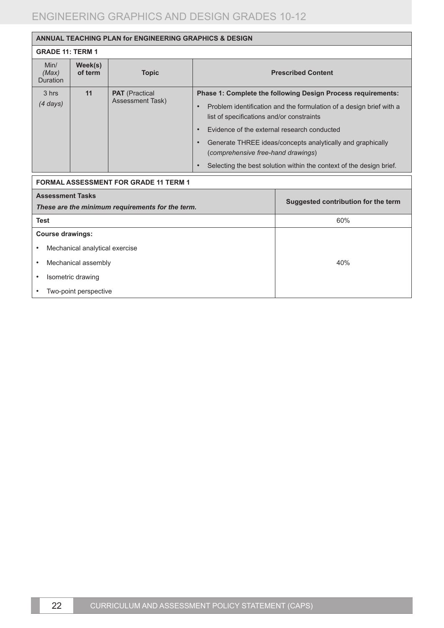#### **ANNUAL TEACHING PLAN for ENGINEERING GRAPHICS & DESIGN GRADE 11: TERM 1** Min/ *(Max)* Duration **Week(s) Topic Prescribed Content** 3 hrs *(4 days)* **11 PAT** (Practical Assessment Task) **Phase 1: Complete the following Design Process requirements:** • Problem identification and the formulation of a design brief with a list of specifications and/or constraints • Evidence of the external research conducted • Generate THREE ideas/concepts analytically and graphically (*comprehensive free-hand drawings*) • Selecting the best solution within the context of the design brief. **FORMAL ASSESSMENT FOR GRADE 11 TERM 1**

| <u>UNIALAUULUUIILIN LUN UIVAUL II LEINILI</u>                               |                                     |  |  |  |
|-----------------------------------------------------------------------------|-------------------------------------|--|--|--|
| <b>Assessment Tasks</b><br>These are the minimum requirements for the term. | Suggested contribution for the term |  |  |  |
| <b>Test</b>                                                                 | 60%                                 |  |  |  |
| <b>Course drawings:</b>                                                     |                                     |  |  |  |
| Mechanical analytical exercise                                              |                                     |  |  |  |
| Mechanical assembly                                                         | 40%                                 |  |  |  |
| Isometric drawing                                                           |                                     |  |  |  |
| Two-point perspective                                                       |                                     |  |  |  |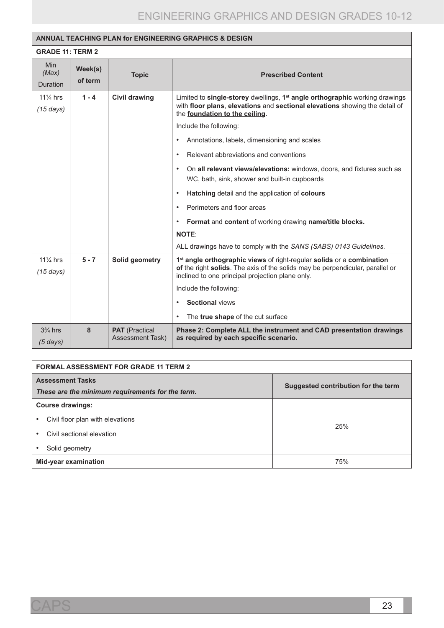| <b>ANNUAL TEACHING PLAN for ENGINEERING GRAPHICS &amp; DESIGN</b> |                         |                                                  |                                                                                                                                                                                                                                    |  |  |
|-------------------------------------------------------------------|-------------------------|--------------------------------------------------|------------------------------------------------------------------------------------------------------------------------------------------------------------------------------------------------------------------------------------|--|--|
|                                                                   | <b>GRADE 11: TERM 2</b> |                                                  |                                                                                                                                                                                                                                    |  |  |
| Min<br>(Max)<br><b>Duration</b>                                   | Week(s)<br>of term      | <b>Topic</b>                                     | <b>Prescribed Content</b>                                                                                                                                                                                                          |  |  |
| $11\frac{1}{4}$ hrs<br>$(15 \text{ days})$                        | $1 - 4$                 | <b>Civil drawing</b>                             | Limited to single-storey dwellings, 1 <sup>st</sup> angle orthographic working drawings<br>with floor plans, elevations and sectional elevations showing the detail of<br>the foundation to the ceiling.<br>Include the following: |  |  |
|                                                                   |                         |                                                  | Annotations, labels, dimensioning and scales<br>$\bullet$                                                                                                                                                                          |  |  |
|                                                                   |                         |                                                  | Relevant abbreviations and conventions<br>$\bullet$                                                                                                                                                                                |  |  |
|                                                                   |                         |                                                  | On all relevant views/elevations: windows, doors, and fixtures such as<br>$\bullet$<br>WC, bath, sink, shower and built-in cupboards                                                                                               |  |  |
|                                                                   |                         |                                                  | Hatching detail and the application of colours<br>$\bullet$                                                                                                                                                                        |  |  |
|                                                                   |                         |                                                  | Perimeters and floor areas<br>$\bullet$<br>Format and content of working drawing name/title blocks.<br>٠                                                                                                                           |  |  |
|                                                                   |                         |                                                  |                                                                                                                                                                                                                                    |  |  |
|                                                                   |                         |                                                  | <b>NOTE:</b>                                                                                                                                                                                                                       |  |  |
|                                                                   |                         |                                                  | ALL drawings have to comply with the SANS (SABS) 0143 Guidelines.                                                                                                                                                                  |  |  |
| $11\frac{1}{4}$ hrs<br>$(15 \text{ days})$                        | $5 - 7$                 | Solid geometry                                   | 1 <sup>st</sup> angle orthographic views of right-regular solids or a combination<br>of the right solids. The axis of the solids may be perpendicular, parallel or<br>inclined to one principal projection plane only.             |  |  |
|                                                                   |                         |                                                  | Include the following:                                                                                                                                                                                                             |  |  |
|                                                                   |                         |                                                  | <b>Sectional views</b><br>$\bullet$                                                                                                                                                                                                |  |  |
|                                                                   |                         |                                                  | The true shape of the cut surface<br>٠                                                                                                                                                                                             |  |  |
| $3\%$ hrs<br>$(5 \, days)$                                        | 8                       | <b>PAT</b> (Practical<br><b>Assessment Task)</b> | Phase 2: Complete ALL the instrument and CAD presentation drawings<br>as required by each specific scenario.                                                                                                                       |  |  |

| <b>FORMAL ASSESSMENT FOR GRADE 11 TERM 2</b>                                |                                  |                                     |  |  |
|-----------------------------------------------------------------------------|----------------------------------|-------------------------------------|--|--|
| <b>Assessment Tasks</b><br>These are the minimum requirements for the term. |                                  | Suggested contribution for the term |  |  |
|                                                                             | <b>Course drawings:</b>          |                                     |  |  |
|                                                                             | Civil floor plan with elevations |                                     |  |  |
| Civil sectional elevation                                                   |                                  | 25%                                 |  |  |
|                                                                             | Solid geometry                   |                                     |  |  |
|                                                                             | <b>Mid-year examination</b>      | 75%                                 |  |  |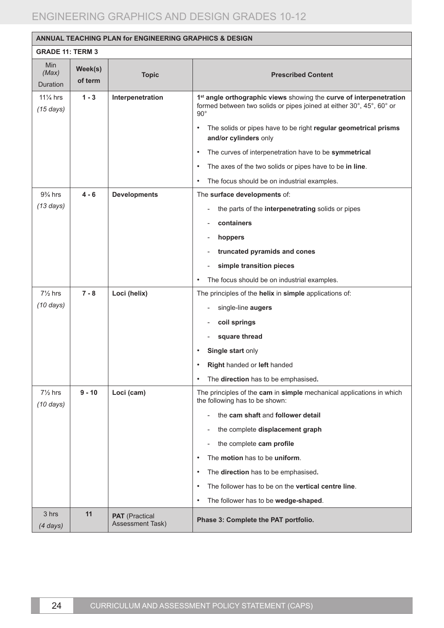| ANNUAL TEACHING PLAN for ENGINEERING GRAPHICS & DESIGN |                    |                                           |                                                                                                                                                                                                                                                                                                                                                                                                                                               |
|--------------------------------------------------------|--------------------|-------------------------------------------|-----------------------------------------------------------------------------------------------------------------------------------------------------------------------------------------------------------------------------------------------------------------------------------------------------------------------------------------------------------------------------------------------------------------------------------------------|
| <b>GRADE 11: TERM 3</b>                                |                    |                                           |                                                                                                                                                                                                                                                                                                                                                                                                                                               |
| <b>Min</b><br>(Max)<br><b>Duration</b>                 | Week(s)<br>of term | <b>Topic</b>                              | <b>Prescribed Content</b>                                                                                                                                                                                                                                                                                                                                                                                                                     |
| $11\frac{1}{4}$ hrs<br>$(15 \text{ days})$             | $1 - 3$            | Interpenetration                          | 1 <sup>st</sup> angle orthographic views showing the curve of interpenetration<br>formed between two solids or pipes joined at either 30°, 45°, 60° or<br>$90^{\circ}$<br>The solids or pipes have to be right regular geometrical prisms<br>$\bullet$<br>and/or cylinders only<br>The curves of interpenetration have to be symmetrical<br>$\bullet$<br>The axes of the two solids or pipes have to be in line.<br>$\bullet$                 |
|                                                        |                    |                                           | The focus should be on industrial examples.<br>$\bullet$                                                                                                                                                                                                                                                                                                                                                                                      |
| $9\frac{3}{4}$ hrs<br>$(13 \text{ days})$              | $4 - 6$            | <b>Developments</b>                       | The surface developments of:<br>the parts of the interpenetrating solids or pipes<br>containers                                                                                                                                                                                                                                                                                                                                               |
|                                                        |                    |                                           | hoppers<br>truncated pyramids and cones<br>simple transition pieces<br>The focus should be on industrial examples.<br>$\bullet$                                                                                                                                                                                                                                                                                                               |
| $7\frac{1}{2}$ hrs<br>$(10 \text{ days})$              | $7 - 8$            | Loci (helix)                              | The principles of the helix in simple applications of:<br>single-line augers<br>coil springs<br>square thread<br>Single start only<br>Right handed or left handed<br>$\bullet$<br>The direction has to be emphasised.<br>$\bullet$                                                                                                                                                                                                            |
| $7\frac{1}{2}$ hrs<br>$(10 \text{ days})$              | $9 - 10$           | Loci (cam)                                | The principles of the cam in simple mechanical applications in which<br>the following has to be shown:<br>the cam shaft and follower detail<br>the complete displacement graph<br>the complete cam profile<br>The motion has to be uniform.<br>$\bullet$<br>The direction has to be emphasised.<br>$\bullet$<br>The follower has to be on the <b>vertical centre line</b> .<br>$\bullet$<br>The follower has to be wedge-shaped.<br>$\bullet$ |
| 3 hrs<br>$(4$ days)                                    | 11                 | <b>PAT</b> (Practical<br>Assessment Task) | Phase 3: Complete the PAT portfolio.                                                                                                                                                                                                                                                                                                                                                                                                          |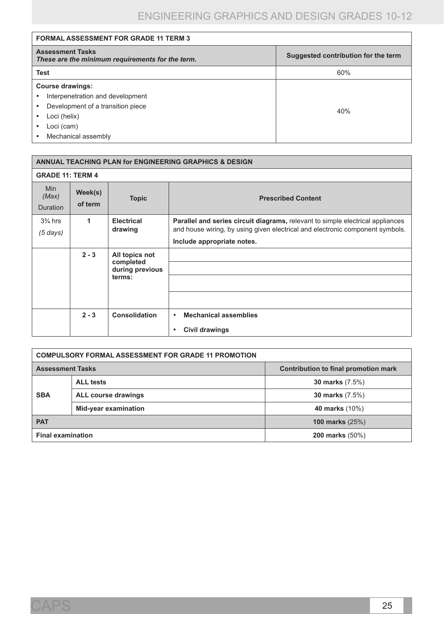| <b>FORMAL ASSESSMENT FOR GRADE 11 TERM 3</b>                                |                                     |  |  |  |
|-----------------------------------------------------------------------------|-------------------------------------|--|--|--|
| <b>Assessment Tasks</b><br>These are the minimum requirements for the term. | Suggested contribution for the term |  |  |  |
| Test                                                                        | 60%                                 |  |  |  |
| <b>Course drawings:</b>                                                     |                                     |  |  |  |
| Interpenetration and development                                            | 40%                                 |  |  |  |
| Development of a transition piece                                           |                                     |  |  |  |
| Loci (helix)                                                                |                                     |  |  |  |
| Loci (cam)                                                                  |                                     |  |  |  |
| Mechanical assembly                                                         |                                     |  |  |  |

| <b>ANNUAL TEACHING PLAN for ENGINEERING GRAPHICS &amp; DESIGN</b> |                    |                                                          |                                                                                                                                                                                               |
|-------------------------------------------------------------------|--------------------|----------------------------------------------------------|-----------------------------------------------------------------------------------------------------------------------------------------------------------------------------------------------|
| <b>GRADE 11: TERM 4</b>                                           |                    |                                                          |                                                                                                                                                                                               |
| <b>Min</b><br>(Max)<br>Duration                                   | Week(s)<br>of term | <b>Topic</b>                                             | <b>Prescribed Content</b>                                                                                                                                                                     |
| $3\%$ hrs<br>$(5$ days)                                           | 1                  | <b>Electrical</b><br>drawing                             | Parallel and series circuit diagrams, relevant to simple electrical appliances<br>and house wiring, by using given electrical and electronic component symbols.<br>Include appropriate notes. |
|                                                                   | $2 - 3$            | All topics not<br>completed<br>during previous<br>terms: |                                                                                                                                                                                               |
|                                                                   | $2 - 3$            | <b>Consolidation</b>                                     | <b>Mechanical assemblies</b><br>$\bullet$<br><b>Civil drawings</b><br>٠                                                                                                                       |

| <b>COMPULSORY FORMAL ASSESSMENT FOR GRADE 11 PROMOTION</b> |                             |                                      |  |
|------------------------------------------------------------|-----------------------------|--------------------------------------|--|
| <b>Assessment Tasks</b>                                    |                             | Contribution to final promotion mark |  |
|                                                            | <b>ALL tests</b>            | <b>30 marks</b> (7.5%)               |  |
| <b>SBA</b>                                                 | <b>ALL course drawings</b>  | <b>30 marks</b> (7.5%)               |  |
|                                                            | <b>Mid-year examination</b> | <b>40 marks</b> (10%)                |  |
| <b>PAT</b>                                                 |                             | <b>100 marks</b> (25%)               |  |
| <b>Final examination</b>                                   |                             | <b>200 marks</b> (50%)               |  |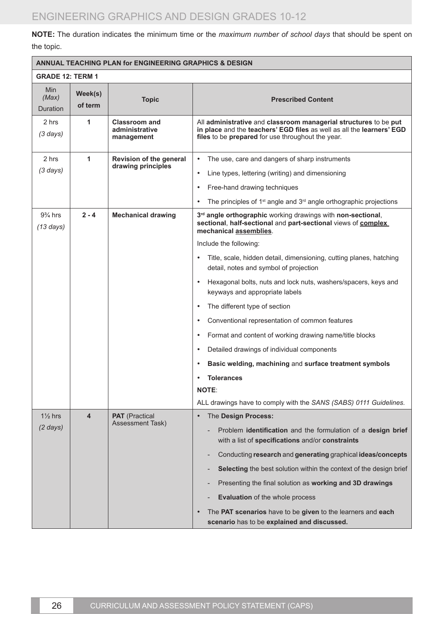**NOTE:** The duration indicates the minimum time or the *maximum number of school days* that should be spent on the topic.

|                                          | <b>ANNUAL TEACHING PLAN for ENGINEERING GRAPHICS &amp; DESIGN</b> |                                                      |                                                                                                                                                                                                                                                                                                                                                                                                                                                                                                                                                                                                                                                                                                                                                                       |  |
|------------------------------------------|-------------------------------------------------------------------|------------------------------------------------------|-----------------------------------------------------------------------------------------------------------------------------------------------------------------------------------------------------------------------------------------------------------------------------------------------------------------------------------------------------------------------------------------------------------------------------------------------------------------------------------------------------------------------------------------------------------------------------------------------------------------------------------------------------------------------------------------------------------------------------------------------------------------------|--|
| <b>GRADE 12: TERM 1</b>                  |                                                                   |                                                      |                                                                                                                                                                                                                                                                                                                                                                                                                                                                                                                                                                                                                                                                                                                                                                       |  |
| Min<br>(Max)<br><b>Duration</b>          | Week(s)<br>of term                                                | <b>Topic</b>                                         | <b>Prescribed Content</b>                                                                                                                                                                                                                                                                                                                                                                                                                                                                                                                                                                                                                                                                                                                                             |  |
| 2 hrs<br>$(3 \text{ days})$              | 1                                                                 | <b>Classroom and</b><br>administrative<br>management | All administrative and classroom managerial structures to be put<br>in place and the teachers' EGD files as well as all the learners' EGD<br>files to be prepared for use throughout the year.                                                                                                                                                                                                                                                                                                                                                                                                                                                                                                                                                                        |  |
| 2 hrs<br>$(3 \text{ days})$              | 1                                                                 | Revision of the general<br>drawing principles        | The use, care and dangers of sharp instruments<br>$\bullet$<br>Line types, lettering (writing) and dimensioning<br>Free-hand drawing techniques<br>The principles of $1st$ angle and $3rd$ angle orthographic projections<br>$\bullet$                                                                                                                                                                                                                                                                                                                                                                                                                                                                                                                                |  |
| $9\%$ hrs<br>$(13 \text{ days})$         | $2 - 4$                                                           | <b>Mechanical drawing</b>                            | 3rd angle orthographic working drawings with non-sectional,<br>sectional, half-sectional and part-sectional views of complex<br>mechanical assemblies.<br>Include the following:<br>Title, scale, hidden detail, dimensioning, cutting planes, hatching<br>detail, notes and symbol of projection<br>Hexagonal bolts, nuts and lock nuts, washers/spacers, keys and<br>keyways and appropriate labels<br>The different type of section<br>Conventional representation of common features<br>Format and content of working drawing name/title blocks<br>Detailed drawings of individual components<br>Basic welding, machining and surface treatment symbols<br><b>Tolerances</b><br><b>NOTE:</b><br>ALL drawings have to comply with the SANS (SABS) 0111 Guidelines. |  |
| $1\frac{1}{2}$ hrs<br>$(2 \text{ days})$ | 4                                                                 | <b>PAT</b> (Practical<br>Assessment Task)            | The Design Process:<br>Problem identification and the formulation of a design brief<br>with a list of specifications and/or constraints<br>Conducting research and generating graphical ideas/concepts<br>Selecting the best solution within the context of the design brief<br>Presenting the final solution as working and 3D drawings<br><b>Evaluation of the whole process</b><br>The PAT scenarios have to be given to the learners and each<br>scenario has to be explained and discussed.                                                                                                                                                                                                                                                                      |  |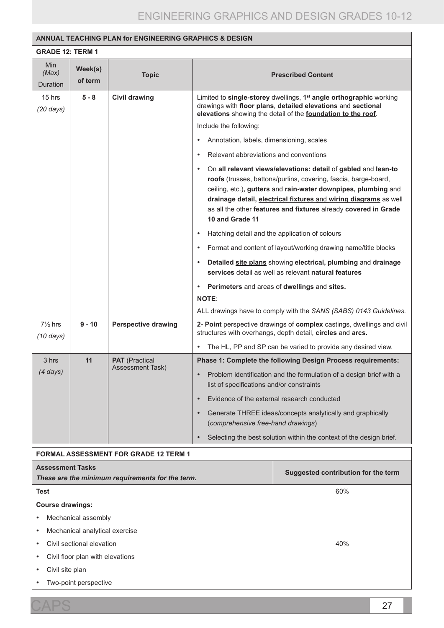#### **ANNUAL TEACHING PLAN for ENGINEERING GRAPHICS & DESIGN GRADE 12: TERM 1** Min *(Max)* Duration **Week(s) of term Topic Prescribed Content** 15 hrs *(20 days)* **5 - 8 Civil drawing** Limited to **single-storey** dwellings, **1st angle orthographic** working drawings with **floor plans**, **detailed elevations** and **sectional elevations** showing the detail of the **foundation to the roof**. Include the following: Annotation, labels, dimensioning, scales Relevant abbreviations and conventions • On **all relevant views/elevations: detail** of **gabled** and **lean-to roofs** (trusses, battons/purlins, covering, fascia, barge-board, ceiling, etc.)**, gutters** and **rain-water downpipes, plumbing** and **drainage detail, electrical fixtures** and **wiring diagrams** as well as all the other **features and fixtures** already **covered in Grade 10 and Grade 11** Hatching detail and the application of colours Format and content of layout/working drawing name/title blocks **Detailed site plans** showing **electrical**, plumbing and drainage **services** detail as well as relevant **natural features Perimeters** and areas of dwellings and sites. **NOTE**: ALL drawings have to comply with the *SANS (SABS) 0143 Guidelines.*  7½ hrs *(10 days)* **9 - 10 Perspective drawing 2- Point** perspective drawings of **complex** castings, dwellings and civil structures with overhangs, depth detail, **circles** and **arcs.** The HL, PP and SP can be varied to provide any desired view. 3 hrs *(4 days)* **11 PAT** (Practical Assessment Task) **Phase 1: Complete the following Design Process requirements:** Problem identification and the formulation of a design brief with a list of specifications and/or constraints • Evidence of the external research conducted Generate THREE ideas/concepts analytically and graphically (*comprehensive free-hand drawings*) Selecting the best solution within the context of the design brief.

#### **FORMAL ASSESSMENT FOR GRADE 12 TERM 1 Assessment Tasks** *These are the minimum requirements for the term.* **Suggested contribution for the term Test** 60% **Course drawings:** Mechanical assembly Mechanical analytical exercise Civil sectional elevation Civil floor plan with elevations Civil site plan Two-point perspective 40%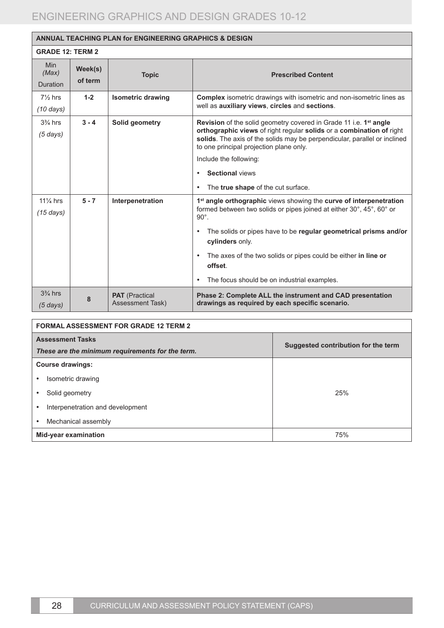|                                            | <b>ANNUAL TEACHING PLAN for ENGINEERING GRAPHICS &amp; DESIGN</b> |                                           |                                                                                                                                                                                                                                                                                                                                                                                           |  |  |
|--------------------------------------------|-------------------------------------------------------------------|-------------------------------------------|-------------------------------------------------------------------------------------------------------------------------------------------------------------------------------------------------------------------------------------------------------------------------------------------------------------------------------------------------------------------------------------------|--|--|
|                                            | <b>GRADE 12: TERM 2</b>                                           |                                           |                                                                                                                                                                                                                                                                                                                                                                                           |  |  |
| Min<br>(Max)<br>Duration                   | Week(s)<br>of term                                                | <b>Topic</b>                              | <b>Prescribed Content</b>                                                                                                                                                                                                                                                                                                                                                                 |  |  |
| $7\frac{1}{2}$ hrs<br>$(10 \text{ days})$  | $1 - 2$                                                           | <b>Isometric drawing</b>                  | <b>Complex</b> isometric drawings with isometric and non-isometric lines as<br>well as auxiliary views, circles and sections.                                                                                                                                                                                                                                                             |  |  |
| $3\%$ hrs<br>$(5 \text{ days})$            | $3 - 4$                                                           | Solid geometry                            | Revision of the solid geometry covered in Grade 11 i.e. 1 <sup>st</sup> angle<br>orthographic views of right regular solids or a combination of right<br>solids. The axis of the solids may be perpendicular, parallel or inclined<br>to one principal projection plane only.<br>Include the following:<br><b>Sectional views</b><br>The true shape of the cut surface.<br>$\bullet$      |  |  |
| $11\frac{1}{4}$ hrs<br>$(15 \text{ days})$ | $5 - 7$                                                           | Interpenetration                          | 1 <sup>st</sup> angle orthographic views showing the curve of interpenetration<br>formed between two solids or pipes joined at either 30°, 45°, 60° or<br>$90^\circ$ .<br>The solids or pipes have to be regular geometrical prisms and/or<br>cylinders only.<br>The axes of the two solids or pipes could be either in line or<br>offset.<br>The focus should be on industrial examples. |  |  |
| $3\%$ hrs<br>(5 days)                      | 8                                                                 | <b>PAT</b> (Practical<br>Assessment Task) | Phase 2: Complete ALL the instrument and CAD presentation<br>drawings as required by each specific scenario.                                                                                                                                                                                                                                                                              |  |  |

| <b>FORMAL ASSESSMENT FOR GRADE 12 TERM 2</b>     |                                     |  |  |  |
|--------------------------------------------------|-------------------------------------|--|--|--|
| <b>Assessment Tasks</b>                          | Suggested contribution for the term |  |  |  |
| These are the minimum requirements for the term. |                                     |  |  |  |
| <b>Course drawings:</b>                          |                                     |  |  |  |
| Isometric drawing                                |                                     |  |  |  |
| Solid geometry                                   | 25%                                 |  |  |  |
| Interpenetration and development                 |                                     |  |  |  |
| Mechanical assembly                              |                                     |  |  |  |
| <b>Mid-year examination</b>                      | 75%                                 |  |  |  |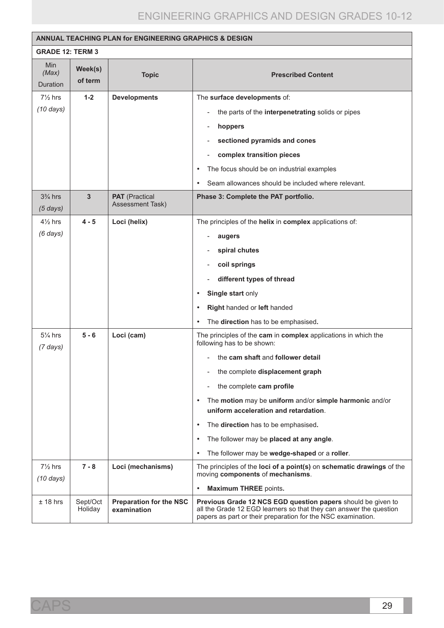| <b>ANNUAL TEACHING PLAN for ENGINEERING GRAPHICS &amp; DESIGN</b> |                     |                                               |                                                                                                                                                                                                    |
|-------------------------------------------------------------------|---------------------|-----------------------------------------------|----------------------------------------------------------------------------------------------------------------------------------------------------------------------------------------------------|
| <b>GRADE 12: TERM 3</b>                                           |                     |                                               |                                                                                                                                                                                                    |
| Min<br>(Max)<br><b>Duration</b>                                   | Week(s)<br>of term  | <b>Topic</b>                                  | <b>Prescribed Content</b>                                                                                                                                                                          |
| $7\frac{1}{2}$ hrs                                                | $1 - 2$             | <b>Developments</b>                           | The surface developments of:                                                                                                                                                                       |
| $(10 \text{ days})$                                               |                     |                                               | the parts of the interpenetrating solids or pipes                                                                                                                                                  |
|                                                                   |                     |                                               | hoppers                                                                                                                                                                                            |
|                                                                   |                     |                                               | sectioned pyramids and cones                                                                                                                                                                       |
|                                                                   |                     |                                               | complex transition pieces                                                                                                                                                                          |
|                                                                   |                     |                                               | The focus should be on industrial examples                                                                                                                                                         |
|                                                                   |                     |                                               | Seam allowances should be included where relevant.<br>$\bullet$                                                                                                                                    |
| $3\frac{3}{4}$ hrs<br>$(5 \, days)$                               | 3                   | <b>PAT</b> (Practical<br>Assessment Task)     | Phase 3: Complete the PAT portfolio.                                                                                                                                                               |
| $4\frac{1}{2}$ hrs                                                | $4 - 5$             | Loci (helix)                                  | The principles of the helix in complex applications of:                                                                                                                                            |
| $(6 \text{ days})$                                                |                     |                                               | augers                                                                                                                                                                                             |
|                                                                   |                     |                                               | spiral chutes                                                                                                                                                                                      |
|                                                                   |                     |                                               | coil springs                                                                                                                                                                                       |
|                                                                   |                     |                                               | different types of thread                                                                                                                                                                          |
|                                                                   |                     |                                               | Single start only<br>٠                                                                                                                                                                             |
|                                                                   |                     |                                               | Right handed or left handed<br>$\bullet$                                                                                                                                                           |
|                                                                   |                     |                                               | The direction has to be emphasised.<br>$\bullet$                                                                                                                                                   |
| $5\%$ hrs<br>(7 days)                                             | $5 - 6$             | Loci (cam)                                    | The principles of the cam in complex applications in which the<br>following has to be shown:                                                                                                       |
|                                                                   |                     |                                               | the cam shaft and follower detail                                                                                                                                                                  |
|                                                                   |                     |                                               | the complete displacement graph                                                                                                                                                                    |
|                                                                   |                     |                                               | the complete cam profile                                                                                                                                                                           |
|                                                                   |                     |                                               | The motion may be uniform and/or simple harmonic and/or<br>$\bullet$<br>uniform acceleration and retardation.                                                                                      |
|                                                                   |                     |                                               | The direction has to be emphasised.<br>$\bullet$                                                                                                                                                   |
|                                                                   |                     |                                               | The follower may be placed at any angle.<br>$\bullet$                                                                                                                                              |
|                                                                   |                     |                                               | The follower may be wedge-shaped or a roller.<br>$\bullet$                                                                                                                                         |
| $7\frac{1}{2}$ hrs<br>$(10 \text{ days})$                         | $7 - 8$             | Loci (mechanisms)                             | The principles of the loci of a point(s) on schematic drawings of the<br>moving components of mechanisms.                                                                                          |
|                                                                   |                     |                                               | <b>Maximum THREE</b> points.<br>$\bullet$                                                                                                                                                          |
| $±$ 18 hrs                                                        | Sept/Oct<br>Holiday | <b>Preparation for the NSC</b><br>examination | Previous Grade 12 NCS EGD question papers should be given to<br>all the Grade 12 EGD learners so that they can answer the question<br>papers as part or their preparation for the NSC examination. |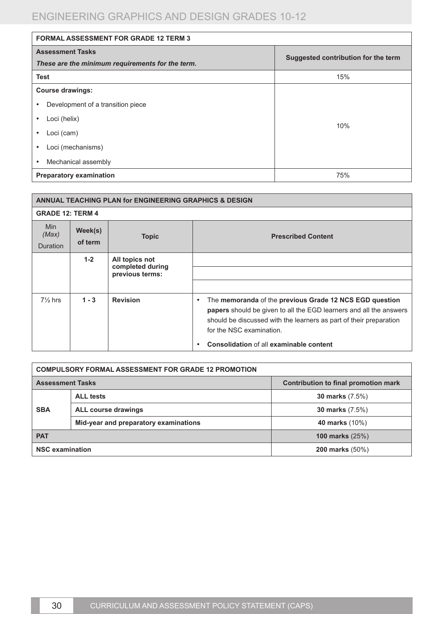| <b>FORMAL ASSESSMENT FOR GRADE 12 TERM 3</b>     |                                     |  |  |  |
|--------------------------------------------------|-------------------------------------|--|--|--|
| <b>Assessment Tasks</b>                          |                                     |  |  |  |
| These are the minimum requirements for the term. | Suggested contribution for the term |  |  |  |
| <b>Test</b>                                      | 15%                                 |  |  |  |
| <b>Course drawings:</b>                          |                                     |  |  |  |
| Development of a transition piece<br>٠           | 10%                                 |  |  |  |
| Loci (helix)                                     |                                     |  |  |  |
| Loci (cam)                                       |                                     |  |  |  |
| Loci (mechanisms)                                |                                     |  |  |  |
| Mechanical assembly                              |                                     |  |  |  |
| <b>Preparatory examination</b>                   | 75%                                 |  |  |  |

|                                        | <b>ANNUAL TEACHING PLAN for ENGINEERING GRAPHICS &amp; DESIGN</b> |                                                       |                                                                                                                                                                                                                                                                                          |  |
|----------------------------------------|-------------------------------------------------------------------|-------------------------------------------------------|------------------------------------------------------------------------------------------------------------------------------------------------------------------------------------------------------------------------------------------------------------------------------------------|--|
|                                        | <b>GRADE 12: TERM 4</b>                                           |                                                       |                                                                                                                                                                                                                                                                                          |  |
| <b>Min</b><br>(Max)<br><b>Duration</b> | Week(s)<br>of term                                                | <b>Topic</b>                                          | <b>Prescribed Content</b>                                                                                                                                                                                                                                                                |  |
|                                        | $1-2$                                                             | All topics not<br>completed during<br>previous terms: |                                                                                                                                                                                                                                                                                          |  |
| $7\frac{1}{2}$ hrs                     | $1 - 3$                                                           | <b>Revision</b>                                       | The memoranda of the previous Grade 12 NCS EGD question<br><b>papers</b> should be given to all the EGD learners and all the answers<br>should be discussed with the learners as part of their preparation<br>for the NSC examination.<br><b>Consolidation of all examinable content</b> |  |

| <b>COMPULSORY FORMAL ASSESSMENT FOR GRADE 12 PROMOTION</b> |                                       |                                      |  |
|------------------------------------------------------------|---------------------------------------|--------------------------------------|--|
| <b>Assessment Tasks</b>                                    |                                       | Contribution to final promotion mark |  |
|                                                            | <b>ALL tests</b>                      | <b>30 marks</b> (7.5%)               |  |
| <b>SBA</b>                                                 | <b>ALL course drawings</b>            | <b>30 marks</b> (7.5%)               |  |
|                                                            | Mid-year and preparatory examinations | <b>40 marks</b> (10%)                |  |
| <b>PAT</b>                                                 |                                       | <b>100 marks</b> (25%)               |  |
| <b>NSC examination</b>                                     |                                       | <b>200 marks</b> (50%)               |  |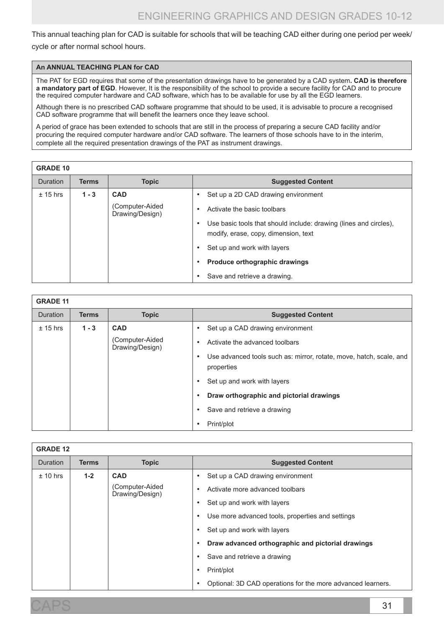This annual teaching plan for CAD is suitable for schools that will be teaching CAD either during one period per week/

cycle or after normal school hours.

#### **An ANNUAL TEACHING PLAN for CAD**

The PAT for EGD requires that some of the presentation drawings have to be generated by a CAD system**. CAD is therefore a mandatory part of EGD**. However, It is the responsibility of the school to provide a secure facility for CAD and to procure the required computer hardware and CAD software, which has to be available for use by all the EGD learners.

Although there is no prescribed CAD software programme that should to be used, it is advisable to procure a recognised CAD software programme that will benefit the learners once they leave school.

A period of grace has been extended to schools that are still in the process of preparing a secure CAD facility and/or procuring the required computer hardware and/or CAD software. The learners of those schools have to in the interim, complete all the required presentation drawings of the PAT as instrument drawings.

|                 | <b>GRADE 10</b> |                                    |                                                                                                           |  |
|-----------------|-----------------|------------------------------------|-----------------------------------------------------------------------------------------------------------|--|
| <b>Duration</b> | <b>Terms</b>    | <b>Topic</b>                       | <b>Suggested Content</b>                                                                                  |  |
| $±$ 15 hrs      | $1 - 3$         | <b>CAD</b>                         | Set up a 2D CAD drawing environment                                                                       |  |
|                 |                 | (Computer-Aided<br>Drawing/Design) | Activate the basic toolbars                                                                               |  |
|                 |                 |                                    | Use basic tools that should include: drawing (lines and circles),<br>modify, erase, copy, dimension, text |  |
|                 |                 |                                    | Set up and work with layers                                                                               |  |
|                 |                 |                                    | Produce orthographic drawings                                                                             |  |
|                 |                 |                                    | Save and retrieve a drawing.                                                                              |  |

| <b>GRADE 11</b> |              |                                                  |                                                                                                                                                                                                                                                                                 |
|-----------------|--------------|--------------------------------------------------|---------------------------------------------------------------------------------------------------------------------------------------------------------------------------------------------------------------------------------------------------------------------------------|
| <b>Duration</b> | <b>Terms</b> | <b>Topic</b>                                     | <b>Suggested Content</b>                                                                                                                                                                                                                                                        |
| ± 15 hrs        | $1 - 3$      | <b>CAD</b><br>(Computer-Aided<br>Drawing/Design) | Set up a CAD drawing environment<br>Activate the advanced toolbars<br>Use advanced tools such as: mirror, rotate, move, hatch, scale, and<br>properties<br>Set up and work with layers<br>Draw orthographic and pictorial drawings<br>Save and retrieve a drawing<br>Print/plot |

|            | <b>GRADE 12</b> |                                          |                                                             |  |
|------------|-----------------|------------------------------------------|-------------------------------------------------------------|--|
| Duration   | <b>Terms</b>    | <b>Topic</b>                             | <b>Suggested Content</b>                                    |  |
| $± 10$ hrs | $1-2$           | <b>CAD</b>                               | Set up a CAD drawing environment<br>٠                       |  |
|            |                 | (Computer-Aided<br>Drawing/Design)       | Activate more advanced toolbars<br>$\bullet$                |  |
|            |                 | Set up and work with layers<br>$\bullet$ |                                                             |  |
|            |                 |                                          | Use more advanced tools, properties and settings<br>٠       |  |
|            |                 |                                          | Set up and work with layers                                 |  |
|            |                 |                                          | Draw advanced orthographic and pictorial drawings           |  |
|            |                 |                                          | Save and retrieve a drawing<br>$\bullet$                    |  |
|            |                 |                                          | Print/plot<br>$\bullet$                                     |  |
|            |                 |                                          | Optional: 3D CAD operations for the more advanced learners. |  |

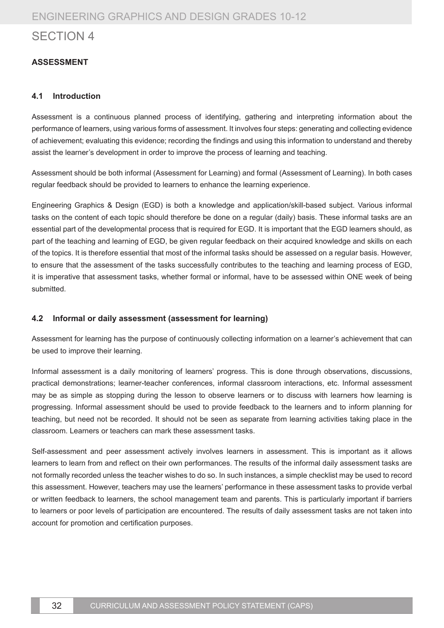### SECTION 4

#### **ASSESSMENT**

#### **4.1 Introduction**

Assessment is a continuous planned process of identifying, gathering and interpreting information about the performance of learners, using various forms of assessment. It involves four steps: generating and collecting evidence of achievement; evaluating this evidence; recording the findings and using this information to understand and thereby assist the learner's development in order to improve the process of learning and teaching.

Assessment should be both informal (Assessment for Learning) and formal (Assessment of Learning). In both cases regular feedback should be provided to learners to enhance the learning experience.

Engineering Graphics & Design (EGD) is both a knowledge and application/skill-based subject. Various informal tasks on the content of each topic should therefore be done on a regular (daily) basis. These informal tasks are an essential part of the developmental process that is required for EGD. It is important that the EGD learners should, as part of the teaching and learning of EGD, be given regular feedback on their acquired knowledge and skills on each of the topics. It is therefore essential that most of the informal tasks should be assessed on a regular basis. However, to ensure that the assessment of the tasks successfully contributes to the teaching and learning process of EGD, it is imperative that assessment tasks, whether formal or informal, have to be assessed within ONE week of being submitted.

#### **4.2 Informal or daily assessment (assessment for learning)**

Assessment for learning has the purpose of continuously collecting information on a learner's achievement that can be used to improve their learning.

Informal assessment is a daily monitoring of learners' progress. This is done through observations, discussions, practical demonstrations; learner-teacher conferences, informal classroom interactions, etc. Informal assessment may be as simple as stopping during the lesson to observe learners or to discuss with learners how learning is progressing. Informal assessment should be used to provide feedback to the learners and to inform planning for teaching, but need not be recorded. It should not be seen as separate from learning activities taking place in the classroom. Learners or teachers can mark these assessment tasks.

Self-assessment and peer assessment actively involves learners in assessment. This is important as it allows learners to learn from and reflect on their own performances. The results of the informal daily assessment tasks are not formally recorded unless the teacher wishes to do so. In such instances, a simple checklist may be used to record this assessment. However, teachers may use the learners' performance in these assessment tasks to provide verbal or written feedback to learners, the school management team and parents. This is particularly important if barriers to learners or poor levels of participation are encountered. The results of daily assessment tasks are not taken into account for promotion and certification purposes.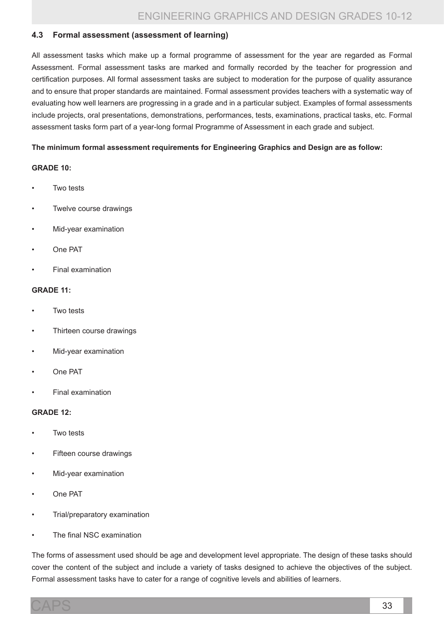#### **4.3 Formal assessment (assessment of learning)**

All assessment tasks which make up a formal programme of assessment for the year are regarded as Formal Assessment. Formal assessment tasks are marked and formally recorded by the teacher for progression and certification purposes. All formal assessment tasks are subject to moderation for the purpose of quality assurance and to ensure that proper standards are maintained. Formal assessment provides teachers with a systematic way of evaluating how well learners are progressing in a grade and in a particular subject. Examples of formal assessments include projects, oral presentations, demonstrations, performances, tests, examinations, practical tasks, etc. Formal assessment tasks form part of a year-long formal Programme of Assessment in each grade and subject.

#### **The minimum formal assessment requirements for Engineering Graphics and Design are as follow:**

#### **GRADE 10:**

- Two tests
- Twelve course drawings
- Mid-year examination
- One PAT
- Final examination

#### **GRADE 11:**

- Two tests
- Thirteen course drawings
- Mid-year examination
- One PAT
- Final examination

#### **GRADE 12:**

- Two tests
- Fifteen course drawings
- Mid-year examination
- One PAT
- Trial/preparatory examination
- The final NSC examination

The forms of assessment used should be age and development level appropriate. The design of these tasks should cover the content of the subject and include a variety of tasks designed to achieve the objectives of the subject. Formal assessment tasks have to cater for a range of cognitive levels and abilities of learners.

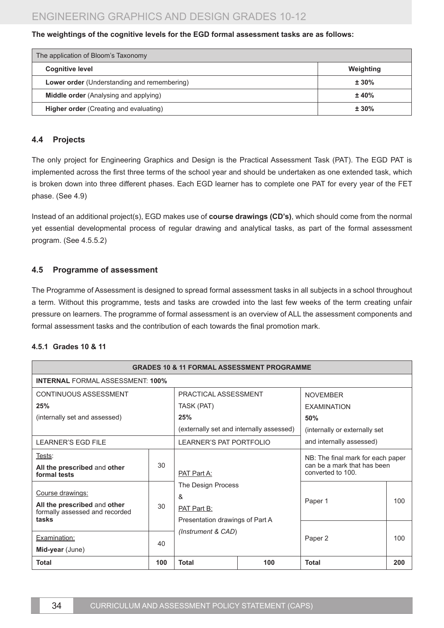#### **The weightings of the cognitive levels for the EGD formal assessment tasks are as follows:**

| The application of Bloom's Taxonomy           |           |  |  |  |  |
|-----------------------------------------------|-----------|--|--|--|--|
| <b>Cognitive level</b>                        | Weighting |  |  |  |  |
| Lower order (Understanding and remembering)   | ± 30%     |  |  |  |  |
| <b>Middle order</b> (Analysing and applying)  | ± 40%     |  |  |  |  |
| <b>Higher order</b> (Creating and evaluating) | ± 30%     |  |  |  |  |

#### **4.4 Projects**

The only project for Engineering Graphics and Design is the Practical Assessment Task (PAT). The EGD PAT is implemented across the first three terms of the school year and should be undertaken as one extended task, which is broken down into three different phases. Each EGD learner has to complete one PAT for every year of the FET phase. (See 4.9)

Instead of an additional project(s), EGD makes use of **course drawings (CD's)**, which should come from the normal yet essential developmental process of regular drawing and analytical tasks, as part of the formal assessment program. (See 4.5.5.2)

#### **4.5 Programme of assessment**

The Programme of Assessment is designed to spread formal assessment tasks in all subjects in a school throughout a term. Without this programme, tests and tasks are crowded into the last few weeks of the term creating unfair pressure on learners. The programme of formal assessment is an overview of ALL the assessment components and formal assessment tasks and the contribution of each towards the final promotion mark.

#### **4.5.1 Grades 10 & 11**

| <b>GRADES 10 &amp; 11 FORMAL ASSESSMENT PROGRAMME</b>                                       |                                          |                                                                           |                               |                                                                                       |     |  |  |
|---------------------------------------------------------------------------------------------|------------------------------------------|---------------------------------------------------------------------------|-------------------------------|---------------------------------------------------------------------------------------|-----|--|--|
| <b>INTERNAL FORMAL ASSESSMENT: 100%</b>                                                     |                                          |                                                                           |                               |                                                                                       |     |  |  |
| <b>CONTINUOUS ASSESSMENT</b>                                                                |                                          | PRACTICAL ASSESSMENT                                                      |                               | <b>NOVEMBER</b>                                                                       |     |  |  |
| 25%                                                                                         |                                          | TASK (PAT)                                                                |                               | <b>FXAMINATION</b>                                                                    |     |  |  |
| (internally set and assessed)                                                               |                                          | 25%                                                                       |                               | 50%                                                                                   |     |  |  |
|                                                                                             | (externally set and internally assessed) |                                                                           | (internally or externally set |                                                                                       |     |  |  |
| <b>LEARNER'S EGD FILE</b>                                                                   | LEARNER'S PAT PORTFOLIO                  |                                                                           | and internally assessed)      |                                                                                       |     |  |  |
| Tests:<br>All the prescribed and other<br>formal tests                                      | 30                                       | PAT Part A:                                                               |                               | NB: The final mark for each paper<br>can be a mark that has been<br>converted to 100. |     |  |  |
| Course drawings:<br>All the prescribed and other<br>formally assessed and recorded<br>tasks | 30                                       | The Design Process<br>&<br>PAT Part B:<br>Presentation drawings of Part A |                               | Paper 1                                                                               | 100 |  |  |
| Examination:<br>Mid-year (June)                                                             | 40                                       | (Instrument & CAD)                                                        |                               | Paper 2                                                                               | 100 |  |  |
| <b>Total</b>                                                                                | 100                                      | <b>Total</b>                                                              | 100                           | <b>Total</b>                                                                          | 200 |  |  |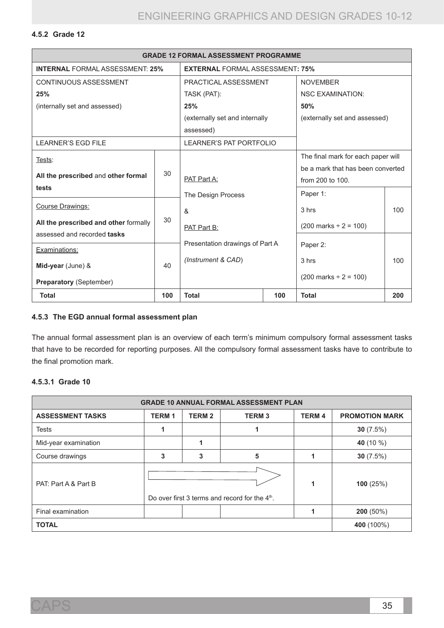#### **4.5.2 Grade 12**

| <b>GRADE 12 FORMAL ASSESSMENT PROGRAMME</b>  |     |                                 |                                        |                                                                         |     |  |  |
|----------------------------------------------|-----|---------------------------------|----------------------------------------|-------------------------------------------------------------------------|-----|--|--|
| <b>INTERNAL FORMAL ASSESSMENT: 25%</b>       |     |                                 | <b>EXTERNAL FORMAL ASSESSMENT: 75%</b> |                                                                         |     |  |  |
| <b>CONTINUOUS ASSESSMENT</b>                 |     | PRACTICAL ASSESSMENT            |                                        | <b>NOVEMBER</b>                                                         |     |  |  |
| 25%                                          |     | TASK (PAT):                     |                                        | <b>NSC EXAMINATION:</b>                                                 |     |  |  |
| (internally set and assessed)                |     | 25%                             |                                        | 50%                                                                     |     |  |  |
|                                              |     | (externally set and internally  |                                        | (externally set and assessed)                                           |     |  |  |
|                                              |     | assessed)                       |                                        |                                                                         |     |  |  |
| <b>LEARNER'S EGD FILE</b>                    |     | LEARNER'S PAT PORTFOLIO         |                                        |                                                                         |     |  |  |
| Tests:                                       |     |                                 |                                        | The final mark for each paper will<br>be a mark that has been converted |     |  |  |
| All the prescribed and other formal          | 30  | PAT Part A:                     |                                        | from 200 to 100.                                                        |     |  |  |
| tests                                        |     | The Design Process              |                                        | Paper 1:                                                                |     |  |  |
| <b>Course Drawings:</b>                      |     | &                               |                                        | 3 hrs                                                                   | 100 |  |  |
| All the prescribed and other formally        | 30  | PAT Part B:                     |                                        | $(200 \text{ marks} \div 2 = 100)$                                      |     |  |  |
| assessed and recorded tasks<br>Examinations: |     | Presentation drawings of Part A |                                        | Paper 2:                                                                |     |  |  |
| Mid-year (June) &                            | 40  | (Instrument & CAD)              |                                        | 3 hrs                                                                   | 100 |  |  |
| <b>Preparatory</b> (September)               |     |                                 |                                        | $(200 \text{ marks} \div 2 = 100)$                                      |     |  |  |
| <b>Total</b>                                 | 100 | <b>Total</b>                    | 100                                    | <b>Total</b>                                                            | 200 |  |  |

#### **4.5.3 The EGD annual formal assessment plan**

The annual formal assessment plan is an overview of each term's minimum compulsory formal assessment tasks that have to be recorded for reporting purposes. All the compulsory formal assessment tasks have to contribute to the final promotion mark.

#### **4.5.3.1 Grade 10**

| <b>GRADE 10 ANNUAL FORMAL ASSESSMENT PLAN</b> |                                                  |               |              |               |                       |  |  |  |
|-----------------------------------------------|--------------------------------------------------|---------------|--------------|---------------|-----------------------|--|--|--|
| <b>ASSESSMENT TASKS</b>                       | <b>TERM1</b>                                     | <b>TERM 2</b> | <b>TERM3</b> | <b>TERM 4</b> | <b>PROMOTION MARK</b> |  |  |  |
| <b>Tests</b>                                  |                                                  |               |              |               | 30 $(7.5\%)$          |  |  |  |
| Mid-year examination                          |                                                  |               |              |               | 40 (10 %)             |  |  |  |
| Course drawings                               | 3                                                | 3             | 5            |               | 30 $(7.5%)$           |  |  |  |
| PAT: Part A & Part B                          | Do over first 3 terms and record for the $4th$ . | 100(25%)      |              |               |                       |  |  |  |
| Final examination                             |                                                  |               |              |               | $200(50\%)$           |  |  |  |
| <b>TOTAL</b>                                  | 400 (100%)                                       |               |              |               |                       |  |  |  |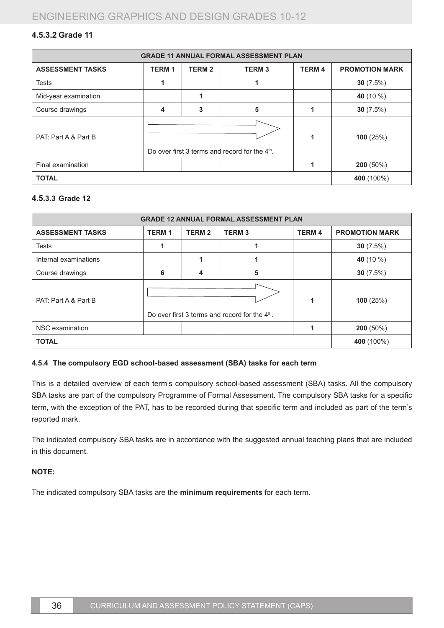#### **4.5.3.2 Grade 11**

| <b>GRADE 11 ANNUAL FORMAL ASSESSMENT PLAN</b> |                                                                                         |             |   |  |             |  |  |  |
|-----------------------------------------------|-----------------------------------------------------------------------------------------|-------------|---|--|-------------|--|--|--|
| <b>ASSESSMENT TASKS</b>                       | <b>TERM 4</b><br><b>TERM1</b><br><b>TERM3</b><br><b>TERM 2</b><br><b>PROMOTION MARK</b> |             |   |  |             |  |  |  |
| <b>Tests</b>                                  | 1                                                                                       |             | 1 |  | 30 $(7.5%)$ |  |  |  |
| Mid-year examination                          |                                                                                         |             |   |  | 40 (10 %)   |  |  |  |
| Course drawings                               | 4                                                                                       | 3           | 5 |  | 30 $(7.5%)$ |  |  |  |
| PAT: Part A & Part B                          | Do over first 3 terms and record for the $4th$ .                                        | 100 $(25%)$ |   |  |             |  |  |  |
| Final examination                             |                                                                                         |             |   |  | $200(50\%)$ |  |  |  |
| <b>TOTAL</b>                                  |                                                                                         |             |   |  | 400 (100%)  |  |  |  |

#### **4.5.3.3 Grade 12**

| <b>GRADE 12 ANNUAL FORMAL ASSESSMENT PLAN</b> |              |               |                                                            |  |              |  |  |  |
|-----------------------------------------------|--------------|---------------|------------------------------------------------------------|--|--------------|--|--|--|
| <b>ASSESSMENT TASKS</b>                       | <b>TERM1</b> | <b>TERM 2</b> | <b>PROMOTION MARK</b>                                      |  |              |  |  |  |
| <b>Tests</b>                                  |              |               |                                                            |  | 30 $(7.5\%)$ |  |  |  |
| Internal examinations                         |              |               |                                                            |  | 40 (10 %)    |  |  |  |
| Course drawings                               | 6            | 4             | 5                                                          |  | 30 $(7.5%)$  |  |  |  |
| PAT: Part A & Part B                          |              |               | Do over first 3 terms and record for the 4 <sup>th</sup> . |  | 100 $(25%)$  |  |  |  |
| NSC examination                               |              |               |                                                            |  | $200(50\%)$  |  |  |  |
| <b>TOTAL</b>                                  |              |               |                                                            |  | 400 (100%)   |  |  |  |

#### **4.5.4 The compulsory EGD school-based assessment (SBA) tasks for each term**

This is a detailed overview of each term's compulsory school-based assessment (SBA) tasks. All the compulsory SBA tasks are part of the compulsory Programme of Formal Assessment. The compulsory SBA tasks for a specific term, with the exception of the PAT, has to be recorded during that specific term and included as part of the term's reported mark.

The indicated compulsory SBA tasks are in accordance with the suggested annual teaching plans that are included in this document.

#### **NOTE:**

The indicated compulsory SBA tasks are the **minimum requirements** for each term.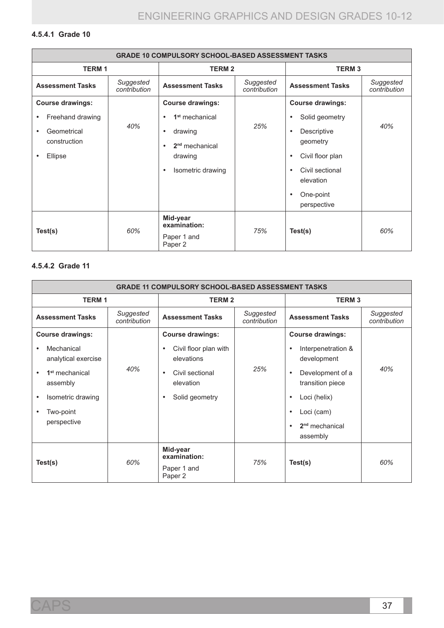#### **4.5.4.1 Grade 10**

| <b>GRADE 10 COMPULSORY SCHOOL-BASED ASSESSMENT TASKS</b>                                             |                           |                                                                                                                                                                                    |                           |                                                                                                                                                                                       |                           |  |
|------------------------------------------------------------------------------------------------------|---------------------------|------------------------------------------------------------------------------------------------------------------------------------------------------------------------------------|---------------------------|---------------------------------------------------------------------------------------------------------------------------------------------------------------------------------------|---------------------------|--|
| <b>TERM1</b>                                                                                         |                           | <b>TERM 2</b>                                                                                                                                                                      |                           | <b>TERM3</b>                                                                                                                                                                          |                           |  |
| <b>Assessment Tasks</b>                                                                              | Suggested<br>contribution | <b>Assessment Tasks</b>                                                                                                                                                            | Suggested<br>contribution | <b>Assessment Tasks</b>                                                                                                                                                               | Suggested<br>contribution |  |
| <b>Course drawings:</b><br>Freehand drawing<br>٠<br>Geometrical<br>٠<br>construction<br>Ellipse<br>٠ | 40%                       | <b>Course drawings:</b><br>1 <sup>st</sup> mechanical<br>$\bullet$<br>drawing<br>$\bullet$<br>2 <sup>nd</sup> mechanical<br>$\bullet$<br>drawing<br>Isometric drawing<br>$\bullet$ | 25%                       | <b>Course drawings:</b><br>Solid geometry<br>٠<br>Descriptive<br>٠<br>geometry<br>Civil floor plan<br>$\bullet$<br>Civil sectional<br>٠<br>elevation<br>One-point<br>٠<br>perspective | 40%                       |  |
| Test(s)                                                                                              | 60%                       | Mid-year<br>examination:<br>Paper 1 and<br>Paper 2                                                                                                                                 | 75%                       | Test(s)                                                                                                                                                                               | 60%                       |  |

#### **4.5.4.2 Grade 11**

| <b>GRADE 11 COMPULSORY SCHOOL-BASED ASSESSMENT TASKS</b> |     |                                                      |     |                                      |                           |  |  |
|----------------------------------------------------------|-----|------------------------------------------------------|-----|--------------------------------------|---------------------------|--|--|
| <b>TERM1</b>                                             |     | <b>TERM 2</b>                                        |     | <b>TERM3</b>                         |                           |  |  |
| Suggested<br><b>Assessment Tasks</b><br>contribution     |     | Suggested<br><b>Assessment Tasks</b><br>contribution |     | <b>Assessment Tasks</b>              | Suggested<br>contribution |  |  |
| <b>Course drawings:</b>                                  |     | <b>Course drawings:</b>                              |     | <b>Course drawings:</b>              |                           |  |  |
| Mechanical<br>$\bullet$<br>analytical exercise           |     | Civil floor plan with<br>elevations                  |     | Interpenetration &<br>development    |                           |  |  |
| 1 <sup>st</sup> mechanical<br>assembly                   | 40% | Civil sectional<br>elevation                         | 25% | Development of a<br>transition piece | 40%                       |  |  |
| Isometric drawing<br>$\bullet$                           |     | Solid geometry                                       |     | Loci (helix)                         |                           |  |  |
| Two-point<br>٠                                           |     |                                                      |     | Loci (cam)                           |                           |  |  |
| perspective                                              |     |                                                      |     | $2nd$ mechanical<br>assembly         |                           |  |  |
|                                                          | 60% | Mid-year<br>examination:                             | 75% |                                      | 60%                       |  |  |
| Test(s)                                                  |     | Paper 1 and<br>Paper 2                               |     | Test(s)                              |                           |  |  |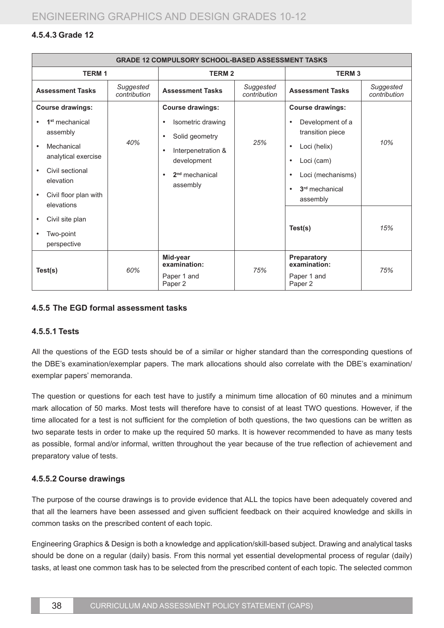#### **4.5.4.3 Grade 12**

| <b>GRADE 12 COMPULSORY SCHOOL-BASED ASSESSMENT TASKS</b>                                                                                                                                       |                           |                                                                                                                                                                                                   |                           |                                                                                                                                                                                                  |                           |  |  |
|------------------------------------------------------------------------------------------------------------------------------------------------------------------------------------------------|---------------------------|---------------------------------------------------------------------------------------------------------------------------------------------------------------------------------------------------|---------------------------|--------------------------------------------------------------------------------------------------------------------------------------------------------------------------------------------------|---------------------------|--|--|
| <b>TERM1</b>                                                                                                                                                                                   |                           | <b>TERM2</b>                                                                                                                                                                                      |                           | <b>TERM3</b>                                                                                                                                                                                     |                           |  |  |
| <b>Assessment Tasks</b>                                                                                                                                                                        | Suggested<br>contribution | <b>Assessment Tasks</b>                                                                                                                                                                           | Suggested<br>contribution | <b>Assessment Tasks</b>                                                                                                                                                                          | Suggested<br>contribution |  |  |
| <b>Course drawings:</b><br>1 <sup>st</sup> mechanical<br>assembly<br>Mechanical<br>$\bullet$<br>analytical exercise<br>Civil sectional<br>$\bullet$<br>elevation<br>Civil floor plan with<br>٠ | 40%                       | <b>Course drawings:</b><br>Isometric drawing<br>$\bullet$<br>Solid geometry<br>$\bullet$<br>Interpenetration &<br>$\bullet$<br>development<br>2 <sup>nd</sup> mechanical<br>$\bullet$<br>assembly | 25%                       | <b>Course drawings:</b><br>Development of a<br>transition piece<br>Loci (helix)<br>$\bullet$<br>Loci (cam)<br>٠<br>Loci (mechanisms)<br>٠<br>3 <sup>rd</sup> mechanical<br>$\bullet$<br>assembly | 10%                       |  |  |
| elevations<br>Civil site plan<br>٠<br>Two-point<br>٠<br>perspective                                                                                                                            |                           |                                                                                                                                                                                                   |                           | Test(s)                                                                                                                                                                                          | 15%                       |  |  |
| Test(s)                                                                                                                                                                                        | 60%                       | Mid-year<br>examination:<br>Paper 1 and<br>Paper <sub>2</sub>                                                                                                                                     | 75%                       | <b>Preparatory</b><br>examination:<br>Paper 1 and<br>Paper 2                                                                                                                                     | 75%                       |  |  |

#### **4.5.5 The EGD formal assessment tasks**

#### **4.5.5.1 Tests**

All the questions of the EGD tests should be of a similar or higher standard than the corresponding questions of the DBE's examination/exemplar papers. The mark allocations should also correlate with the DBE's examination/ exemplar papers' memoranda.

The question or questions for each test have to justify a minimum time allocation of 60 minutes and a minimum mark allocation of 50 marks. Most tests will therefore have to consist of at least TWO questions. However, if the time allocated for a test is not sufficient for the completion of both questions, the two questions can be written as two separate tests in order to make up the required 50 marks. It is however recommended to have as many tests as possible, formal and/or informal, written throughout the year because of the true reflection of achievement and preparatory value of tests.

#### **4.5.5.2 Course drawings**

The purpose of the course drawings is to provide evidence that ALL the topics have been adequately covered and that all the learners have been assessed and given sufficient feedback on their acquired knowledge and skills in common tasks on the prescribed content of each topic.

Engineering Graphics & Design is both a knowledge and application/skill-based subject. Drawing and analytical tasks should be done on a regular (daily) basis. From this normal yet essential developmental process of regular (daily) tasks, at least one common task has to be selected from the prescribed content of each topic. The selected common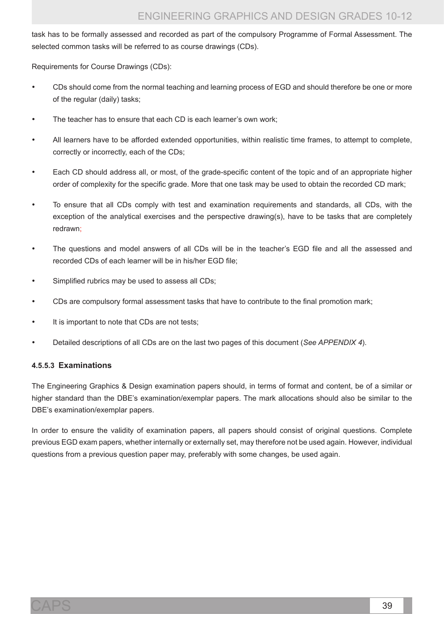task has to be formally assessed and recorded as part of the compulsory Programme of Formal Assessment. The selected common tasks will be referred to as course drawings (CDs).

Requirements for Course Drawings (CDs):

- CDs should come from the normal teaching and learning process of EGD and should therefore be one or more of the regular (daily) tasks;
- The teacher has to ensure that each CD is each learner's own work;
- All learners have to be afforded extended opportunities, within realistic time frames, to attempt to complete, correctly or incorrectly, each of the CDs;
- Each CD should address all, or most, of the grade-specific content of the topic and of an appropriate higher order of complexity for the specific grade. More that one task may be used to obtain the recorded CD mark;
- To ensure that all CDs comply with test and examination requirements and standards, all CDs, with the exception of the analytical exercises and the perspective drawing(s), have to be tasks that are completely redrawn;
- The questions and model answers of all CDs will be in the teacher's EGD file and all the assessed and recorded CDs of each learner will be in his/her EGD file;
- • Simplified rubrics may be used to assess all CDs;
- CDs are compulsory formal assessment tasks that have to contribute to the final promotion mark;
- It is important to note that CDs are not tests;
- Detailed descriptions of all CDs are on the last two pages of this document (*See APPENDIX 4*).

#### **4.5.5.3 Examinations**

The Engineering Graphics & Design examination papers should, in terms of format and content, be of a similar or higher standard than the DBE's examination/exemplar papers. The mark allocations should also be similar to the DBE's examination/exemplar papers.

In order to ensure the validity of examination papers, all papers should consist of original questions. Complete previous EGD exam papers, whether internally or externally set, may therefore not be used again. However, individual questions from a previous question paper may, preferably with some changes, be used again.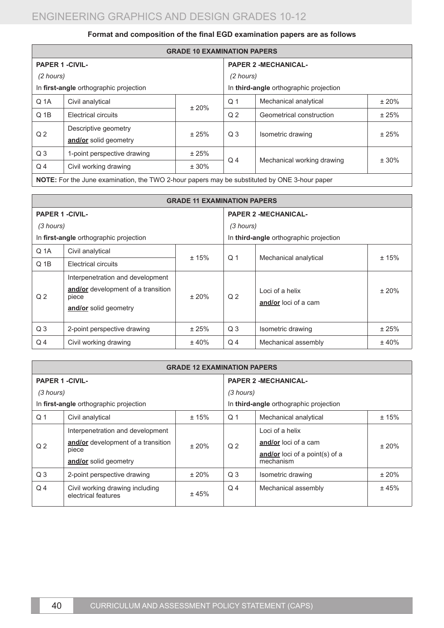#### **Format and composition of the final EGD examination papers are as follows**

| <b>GRADE 10 EXAMINATION PAPERS</b>     |                                                                                                     |          |                |                                        |          |  |  |
|----------------------------------------|-----------------------------------------------------------------------------------------------------|----------|----------------|----------------------------------------|----------|--|--|
| <b>PAPER 1 -CIVIL-</b>                 |                                                                                                     |          |                | <b>PAPER 2 -MECHANICAL-</b>            |          |  |  |
| (2 hours)                              |                                                                                                     |          | (2 hours)      |                                        |          |  |  |
| In first-angle orthographic projection |                                                                                                     |          |                | In third-angle orthographic projection |          |  |  |
| $Q$ 1A                                 | Civil analytical                                                                                    | ±20%     | Q <sub>1</sub> | Mechanical analytical                  | ±20%     |  |  |
| $Q$ 1B                                 | Electrical circuits                                                                                 |          | Q <sub>2</sub> | Geometrical construction               | ±25%     |  |  |
| Q <sub>2</sub>                         | Descriptive geometry<br>and/or solid geometry                                                       | ± 25%    | Q <sub>3</sub> | Isometric drawing                      | ±25%     |  |  |
| Q <sub>3</sub>                         | 1-point perspective drawing                                                                         | ±25%     |                |                                        |          |  |  |
| Q <sub>4</sub>                         | Civil working drawing                                                                               | $± 30\%$ | $Q_4$          | Mechanical working drawing             | $± 30\%$ |  |  |
|                                        | <b>NOTE:</b> For the June examination, the TWO 2-hour papers may be substituted by ONE 3-hour paper |          |                |                                        |          |  |  |

| <b>GRADE 11 EXAMINATION PAPERS</b> |                                                                                                          |       |                |                                         |      |  |
|------------------------------------|----------------------------------------------------------------------------------------------------------|-------|----------------|-----------------------------------------|------|--|
| <b>PAPER 1 -CIVIL-</b>             |                                                                                                          |       |                | <b>PAPER 2 -MECHANICAL-</b>             |      |  |
| (3 hours)                          |                                                                                                          |       | (3 hours)      |                                         |      |  |
|                                    | In first-angle orthographic projection                                                                   |       |                | In third-angle orthographic projection  |      |  |
| Q 1A                               | Civil analytical                                                                                         | ±15%  | Q <sub>1</sub> |                                         | ±15% |  |
| $Q$ 1B                             | Electrical circuits                                                                                      |       |                | Mechanical analytical                   |      |  |
| Q <sub>2</sub>                     | Interpenetration and development<br>and/or development of a transition<br>piece<br>and/or solid geometry | ± 20% | Q <sub>2</sub> | Loci of a helix<br>and/or loci of a cam | ±20% |  |
| Q <sub>3</sub>                     | 2-point perspective drawing                                                                              | ±25%  | Q <sub>3</sub> | Isometric drawing                       | ±25% |  |
| Q <sub>4</sub>                     | Civil working drawing                                                                                    | ±40%  | $Q_4$          | Mechanical assembly                     | ±40% |  |

| <b>GRADE 12 EXAMINATION PAPERS</b>     |                                                        |       |                |                                        |       |  |  |
|----------------------------------------|--------------------------------------------------------|-------|----------------|----------------------------------------|-------|--|--|
| <b>PAPER 1 -CIVIL-</b>                 |                                                        |       |                | <b>PAPER 2 -MECHANICAL-</b>            |       |  |  |
| (3 hours)                              |                                                        |       | (3 hours)      |                                        |       |  |  |
| In first-angle orthographic projection |                                                        |       |                | In third-angle orthographic projection |       |  |  |
| Q <sub>1</sub>                         | Civil analytical                                       | ± 15% | Q <sub>1</sub> | Mechanical analytical                  | ±15%  |  |  |
|                                        | Interpenetration and development                       |       |                | Loci of a helix                        |       |  |  |
| Q <sub>2</sub>                         | and/or development of a transition<br>piece            | ± 20% | Q <sub>2</sub> | and/or loci of a cam                   | ± 20% |  |  |
|                                        |                                                        |       |                | and/or loci of a point(s) of a         |       |  |  |
|                                        | and/or solid geometry                                  |       |                | mechanism                              |       |  |  |
| Q <sub>3</sub>                         | 2-point perspective drawing                            | ±20%  | Q <sub>3</sub> | Isometric drawing                      | ±20%  |  |  |
| $Q_4$                                  | Civil working drawing including<br>electrical features | ± 45% | $Q_4$          | Mechanical assembly                    | ±45%  |  |  |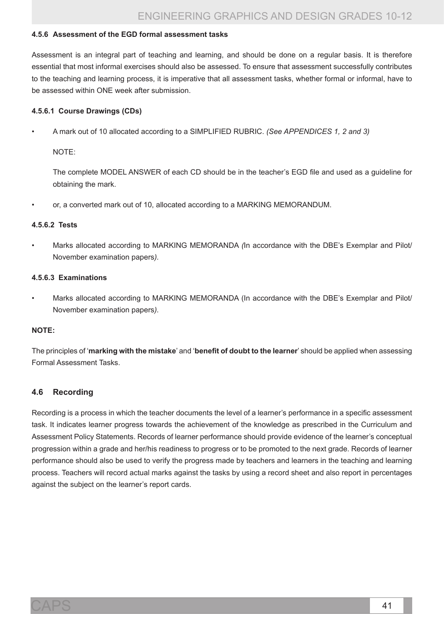#### **4.5.6 Assessment of the EGD formal assessment tasks**

Assessment is an integral part of teaching and learning, and should be done on a regular basis. It is therefore essential that most informal exercises should also be assessed. To ensure that assessment successfully contributes to the teaching and learning process, it is imperative that all assessment tasks, whether formal or informal, have to be assessed within ONE week after submission.

#### **4.5.6.1 Course Drawings (CDs)**

• A mark out of 10 allocated according to a SIMPLIFIED RUBRIC. *(See APPENDICES 1, 2 and 3)*

NOTE:

The complete MODEL ANSWER of each CD should be in the teacher's EGD file and used as a guideline for obtaining the mark.

or, a converted mark out of 10, allocated according to a MARKING MEMORANDUM.

#### **4.5.6.2 Tests**

Marks allocated according to MARKING MEMORANDA (In accordance with the DBE's Exemplar and Pilot/ November examination papers*).*

#### **4.5.6.3 Examinations**

Marks allocated according to MARKING MEMORANDA (In accordance with the DBE's Exemplar and Pilot/ November examination papers*).*

#### **NOTE:**

The principles of '**marking with the mistake**' and '**benefit of doubt to the learner**' should be applied when assessing Formal Assessment Tasks.

#### **4.6 Recording**

Recording is a process in which the teacher documents the level of a learner's performance in a specific assessment task. It indicates learner progress towards the achievement of the knowledge as prescribed in the Curriculum and Assessment Policy Statements. Records of learner performance should provide evidence of the learner's conceptual progression within a grade and her/his readiness to progress or to be promoted to the next grade. Records of learner performance should also be used to verify the progress made by teachers and learners in the teaching and learning process. Teachers will record actual marks against the tasks by using a record sheet and also report in percentages against the subject on the learner's report cards.

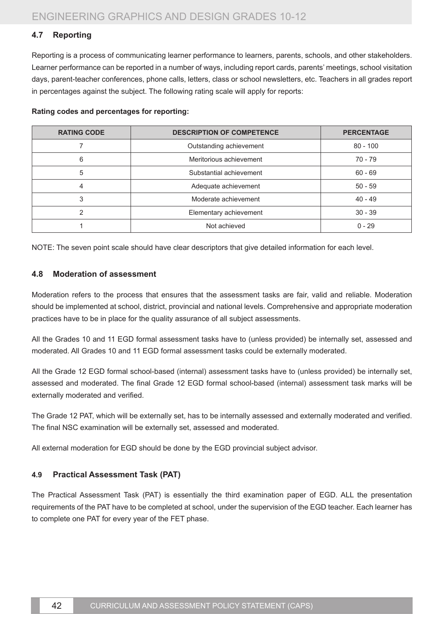#### **4.7 Reporting**

Reporting is a process of communicating learner performance to learners, parents, schools, and other stakeholders. Learner performance can be reported in a number of ways, including report cards, parents' meetings, school visitation days, parent-teacher conferences, phone calls, letters, class or school newsletters, etc. Teachers in all grades report in percentages against the subject. The following rating scale will apply for reports:

| <b>RATING CODE</b> | <b>DESCRIPTION OF COMPETENCE</b> | <b>PERCENTAGE</b> |
|--------------------|----------------------------------|-------------------|
|                    | Outstanding achievement          | $80 - 100$        |
| 6                  | Meritorious achievement          | $70 - 79$         |
| 5                  | Substantial achievement          | $60 - 69$         |
| 4                  | Adequate achievement             | $50 - 59$         |
| 3                  | Moderate achievement             | $40 - 49$         |
| ⌒                  | Elementary achievement           | $30 - 39$         |
|                    | Not achieved                     | $0 - 29$          |

#### **Rating codes and percentages for reporting:**

NOTE: The seven point scale should have clear descriptors that give detailed information for each level.

#### **4.8 Moderation of assessment**

Moderation refers to the process that ensures that the assessment tasks are fair, valid and reliable. Moderation should be implemented at school, district, provincial and national levels. Comprehensive and appropriate moderation practices have to be in place for the quality assurance of all subject assessments.

All the Grades 10 and 11 EGD formal assessment tasks have to (unless provided) be internally set, assessed and moderated. All Grades 10 and 11 EGD formal assessment tasks could be externally moderated.

All the Grade 12 EGD formal school-based (internal) assessment tasks have to (unless provided) be internally set, assessed and moderated. The final Grade 12 EGD formal school-based (internal) assessment task marks will be externally moderated and verified.

The Grade 12 PAT, which will be externally set, has to be internally assessed and externally moderated and verified. The final NSC examination will be externally set, assessed and moderated.

All external moderation for EGD should be done by the EGD provincial subject advisor.

#### **4.9 Practical Assessment Task (PAT)**

The Practical Assessment Task (PAT) is essentially the third examination paper of EGD. ALL the presentation requirements of the PAT have to be completed at school, under the supervision of the EGD teacher. Each learner has to complete one PAT for every year of the FET phase.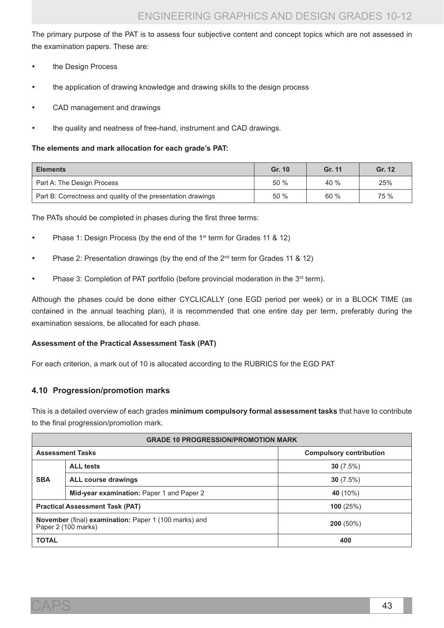The primary purpose of the PAT is to assess four subjective content and concept topics which are not assessed in the examination papers. These are:

- • the Design Process
- the application of drawing knowledge and drawing skills to the design process
- • CAD management and drawings
- the quality and neatness of free-hand, instrument and CAD drawings.

#### **The elements and mark allocation for each grade's PAT:**

| <b>Elements</b>                                              | Gr. 10 | Gr. 11 | Gr. 12 |
|--------------------------------------------------------------|--------|--------|--------|
| Part A: The Design Process                                   | 50%    | 40%    | 25%    |
| Part B: Correctness and quality of the presentation drawings | 50%    | 60 %   | 75 %   |

The PATs should be completed in phases during the first three terms:

- Phase 1: Design Process (by the end of the 1<sup>st</sup> term for Grades 11 & 12)
- Phase 2: Presentation drawings (by the end of the  $2^{nd}$  term for Grades 11 & 12)
- Phase 3: Completion of PAT portfolio (before provincial moderation in the  $3<sup>rd</sup>$  term).

Although the phases could be done either CYCLICALLY (one EGD period per week) or in a BLOCK TIME (as contained in the annual teaching plan), it is recommended that one entire day per term, preferably during the examination sessions, be allocated for each phase.

#### **Assessment of the Practical Assessment Task (PAT)**

For each criterion, a mark out of 10 is allocated according to the RUBRICS for the EGD PAT

#### **4.10 Progression/promotion marks**

This is a detailed overview of each grades **minimum compulsory formal assessment tasks** that have to contribute to the final progression/promotion mark.

| <b>GRADE 10 PROGRESSION/PROMOTION MARK</b>                                                  |                                           |             |  |  |
|---------------------------------------------------------------------------------------------|-------------------------------------------|-------------|--|--|
| <b>Assessment Tasks</b><br><b>Compulsory contribution</b>                                   |                                           |             |  |  |
|                                                                                             | <b>ALL tests</b>                          | $30(7.5\%)$ |  |  |
| <b>SBA</b>                                                                                  | <b>ALL course drawings</b>                | $30(7.5\%)$ |  |  |
|                                                                                             | Mid-year examination: Paper 1 and Paper 2 | 40 (10%)    |  |  |
|                                                                                             | <b>Practical Assessment Task (PAT)</b>    | 100 $(25%)$ |  |  |
| November (final) examination: Paper 1 (100 marks) and<br>$200(50\%)$<br>Paper 2 (100 marks) |                                           |             |  |  |
| <b>TOTAL</b>                                                                                |                                           | 400         |  |  |

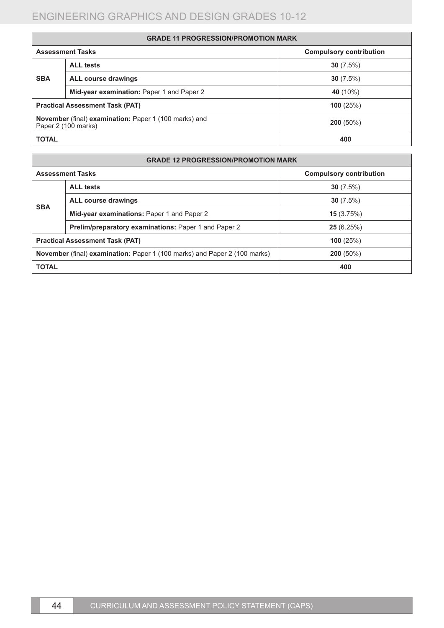| <b>GRADE 11 PROGRESSION/PROMOTION MARK</b>                                   |                                           |                                |  |  |
|------------------------------------------------------------------------------|-------------------------------------------|--------------------------------|--|--|
| <b>Assessment Tasks</b>                                                      |                                           | <b>Compulsory contribution</b> |  |  |
|                                                                              | <b>ALL tests</b>                          | 30 $(7.5\%)$                   |  |  |
| <b>SBA</b>                                                                   | <b>ALL course drawings</b>                | $30(7.5\%)$                    |  |  |
|                                                                              | Mid-year examination: Paper 1 and Paper 2 | 40 (10%)                       |  |  |
| <b>Practical Assessment Task (PAT)</b>                                       |                                           | 100 $(25%)$                    |  |  |
| November (final) examination: Paper 1 (100 marks) and<br>Paper 2 (100 marks) |                                           | $200(50\%)$                    |  |  |
| <b>TOTAL</b>                                                                 |                                           | 400                            |  |  |

| <b>GRADE 12 PROGRESSION/PROMOTION MARK</b>                                              |                                                      |              |  |  |  |
|-----------------------------------------------------------------------------------------|------------------------------------------------------|--------------|--|--|--|
| <b>Assessment Tasks</b><br><b>Compulsory contribution</b>                               |                                                      |              |  |  |  |
|                                                                                         | <b>ALL tests</b>                                     | $30(7.5\%)$  |  |  |  |
| <b>SBA</b>                                                                              | <b>ALL course drawings</b>                           | 30 $(7.5\%)$ |  |  |  |
|                                                                                         | Mid-year examinations: Paper 1 and Paper 2           | 15(3.75%)    |  |  |  |
|                                                                                         | Prelim/preparatory examinations: Paper 1 and Paper 2 | 25(6.25%)    |  |  |  |
| 100(25%)<br><b>Practical Assessment Task (PAT)</b>                                      |                                                      |              |  |  |  |
| <b>November</b> (final) <b>examination:</b> Paper 1 (100 marks) and Paper 2 (100 marks) |                                                      | $200(50\%)$  |  |  |  |
| <b>TOTAL</b>                                                                            |                                                      | 400          |  |  |  |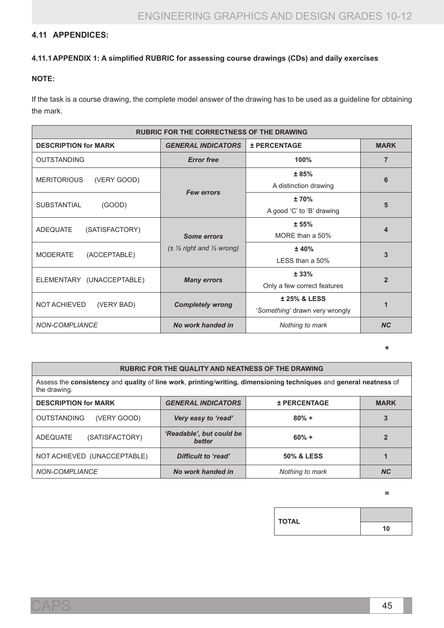#### **4.11 APPENDICES:**

#### **4.11.1 APPENDIX 1: A simplified RUBRIC for assessing course drawings (CDs) and daily exercises**

#### **NOTE:**

If the task is a course drawing, the complete model answer of the drawing has to be used as a guideline for obtaining the mark.

| <b>RUBRIC FOR THE CORRECTNESS OF THE DRAWING</b> |                                                   |                                                |                |  |
|--------------------------------------------------|---------------------------------------------------|------------------------------------------------|----------------|--|
| <b>DESCRIPTION for MARK</b>                      | <b>GENERAL INDICATORS</b>                         | <b>± PERCENTAGE</b>                            | <b>MARK</b>    |  |
| <b>OUTSTANDING</b>                               | <b>Error</b> free                                 | 100%                                           | $\overline{7}$ |  |
| (VERY GOOD)<br><b>MERITORIOUS</b>                | <b>Few errors</b>                                 | ±85%<br>A distinction drawing                  | 6              |  |
| <b>SUBSTANTIAL</b><br>(GOOD)                     |                                                   | ±70%<br>A good 'C' to 'B' drawing              | 5              |  |
| ADEQUATE<br>(SATISFACTORY)                       | Some errors                                       | ± 55%<br>MORE than a 50%                       | 4              |  |
| <b>MODERATE</b><br>(ACCEPTABLE)                  | $(\pm \frac{1}{2}$ right and $\frac{1}{2}$ wrong) | ± 40%<br>LESS than a 50%                       | 3              |  |
| ELEMENTARY (UNACCEPTABLE)                        | <b>Many errors</b>                                | ± 33%<br>Only a few correct features           | $\overline{2}$ |  |
| NOT ACHIEVED<br>(VERY BAD)                       | <b>Completely wrong</b>                           | ± 25% & LESS<br>'Something' drawn very wrongly |                |  |
| <b>NON-COMPLIANCE</b>                            | No work handed in                                 | Nothing to mark                                | <b>NC</b>      |  |

 **+**

#### **RUBRIC FOR THE QUALITY AND NEATNESS OF THE DRAWING**

Assess the **consistency** and **quality** of **line work**, **printing**/**writing, dimensioning techniques** and **general neatness** of the drawing.

| <b>DESCRIPTION for MARK</b>       | <b>GENERAL INDICATORS</b>          | <b>± PERCENTAGE</b> | <b>MARK</b>  |
|-----------------------------------|------------------------------------|---------------------|--------------|
| <b>OUTSTANDING</b><br>(VERY GOOD) | Very easy to 'read'                | $80\% +$            | 3            |
| (SATISFACTORY)<br>ADEQUATE        | 'Readable', but could be<br>better | $60\% +$            | $\mathbf{2}$ |
| NOT ACHIEVED (UNACCEPTABLE)       | Difficult to 'read'                | 50% & LESS          |              |
| NON-COMPLIANCE                    | No work handed in                  | Nothing to mark     | <b>NC</b>    |

**=**

| <b>TOTAL</b> |    |
|--------------|----|
|              | 10 |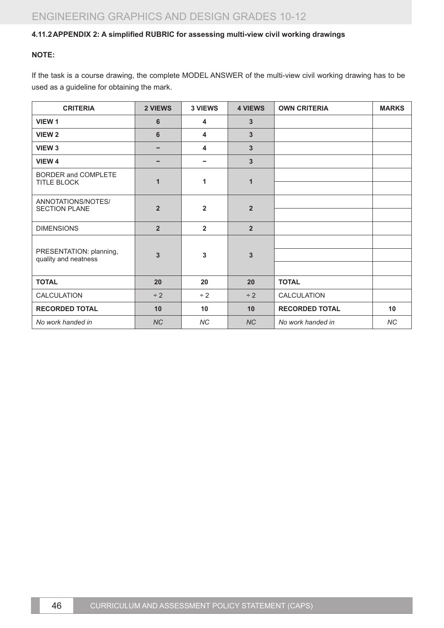#### **4.11.2 APPENDIX 2: A simplified RUBRIC for assessing multi-view civil working drawings**

#### **NOTE:**

If the task is a course drawing, the complete MODEL ANSWER of the multi-view civil working drawing has to be used as a guideline for obtaining the mark.

| <b>CRITERIA</b>                                  | 2 VIEWS        | <b>3 VIEWS</b>          | <b>4 VIEWS</b> | <b>OWN CRITERIA</b>   | <b>MARKS</b> |
|--------------------------------------------------|----------------|-------------------------|----------------|-----------------------|--------------|
| VIEW <sub>1</sub>                                | 6              | 4                       | 3              |                       |              |
| <b>VIEW 2</b>                                    | 6              | 4                       | $\overline{3}$ |                       |              |
| <b>VIEW 3</b>                                    |                | 4                       | 3              |                       |              |
| <b>VIEW 4</b>                                    |                | Ξ.                      | $\overline{3}$ |                       |              |
| <b>BORDER and COMPLETE</b><br><b>TITLE BLOCK</b> | $\overline{1}$ | 1                       | 1              |                       |              |
| ANNOTATIONS/NOTES/<br><b>SECTION PLANE</b>       | $\overline{2}$ | $\overline{\mathbf{2}}$ | $\overline{2}$ |                       |              |
| <b>DIMENSIONS</b>                                | $\overline{2}$ | $\overline{2}$          | $\overline{2}$ |                       |              |
| PRESENTATION: planning,<br>quality and neatness  | $\overline{3}$ | 3                       | 3              |                       |              |
| <b>TOTAL</b>                                     | 20             | 20                      | 20             | <b>TOTAL</b>          |              |
| CALCULATION                                      | $\div$ 2       | $\div$ 2                | $\div$ 2       | CALCULATION           |              |
| <b>RECORDED TOTAL</b>                            | 10             | 10                      | 10             | <b>RECORDED TOTAL</b> | 10           |
| No work handed in                                | <b>NC</b>      | <b>NC</b>               | <b>NC</b>      | No work handed in     | <b>NC</b>    |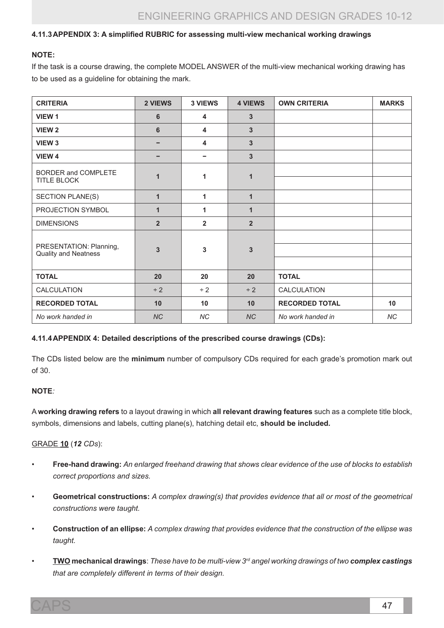#### **4.11.3 APPENDIX 3: A simplified RUBRIC for assessing multi-view mechanical working drawings**

#### **NOTE:**

If the task is a course drawing, the complete MODEL ANSWER of the multi-view mechanical working drawing has to be used as a guideline for obtaining the mark.

| <b>CRITERIA</b>                                        | 2 VIEWS        | <b>3 VIEWS</b> | <b>4 VIEWS</b> | <b>OWN CRITERIA</b>   | <b>MARKS</b> |
|--------------------------------------------------------|----------------|----------------|----------------|-----------------------|--------------|
| VIEW <sub>1</sub>                                      | 6              | 4              | 3              |                       |              |
| <b>VIEW 2</b>                                          | 6              | 4              | $\overline{3}$ |                       |              |
| <b>VIEW3</b>                                           |                | 4              | 3              |                       |              |
| <b>VIEW 4</b>                                          |                |                | $\overline{3}$ |                       |              |
| BORDER and COMPLETE<br>TITLE BLOCK                     | $\mathbf 1$    | 1              | $\mathbf 1$    |                       |              |
| <b>SECTION PLANE(S)</b>                                | $\mathbf{1}$   | 1              | $\mathbf{1}$   |                       |              |
| PROJECTION SYMBOL                                      | $\mathbf{1}$   | 1              | $\mathbf{1}$   |                       |              |
| <b>DIMENSIONS</b>                                      | $\overline{2}$ | $\overline{2}$ | $\overline{2}$ |                       |              |
| PRESENTATION: Planning,<br><b>Quality and Neatness</b> | $\overline{3}$ | 3              | 3              |                       |              |
| <b>TOTAL</b>                                           | 20             | 20             | 20             | <b>TOTAL</b>          |              |
| CALCULATION                                            | $\div$ 2       | $\div$ 2       | $\div$ 2       | CALCULATION           |              |
| <b>RECORDED TOTAL</b>                                  | 10             | 10             | 10             | <b>RECORDED TOTAL</b> | 10           |
| No work handed in                                      | <b>NC</b>      | <b>NC</b>      | <b>NC</b>      | No work handed in     | <b>NC</b>    |

#### **4.11.4 APPENDIX 4: Detailed descriptions of the prescribed course drawings (CDs):**

The CDs listed below are the **minimum** number of compulsory CDs required for each grade's promotion mark out of 30.

#### **NOTE***:*

A **working drawing refers** to a layout drawing in which **all relevant drawing features** such as a complete title block, symbols, dimensions and labels, cutting plane(s), hatching detail etc, **should be included***.*

#### GRADE **10** (*12 CDs*):

- **Free-hand drawing:** *An enlarged freehand drawing that shows clear evidence of the use of blocks to establish correct proportions and sizes.*
- **Geometrical constructions:** *A complex drawing(s) that provides evidence that all or most of the geometrical constructions were taught.*
- **Construction of an ellipse:** *A complex drawing that provides evidence that the construction of the ellipse was taught.*
- **TWO mechanical drawings**: *These have to be multi-view 3rd angel working drawings of two complex castings that are completely different in terms of their design.*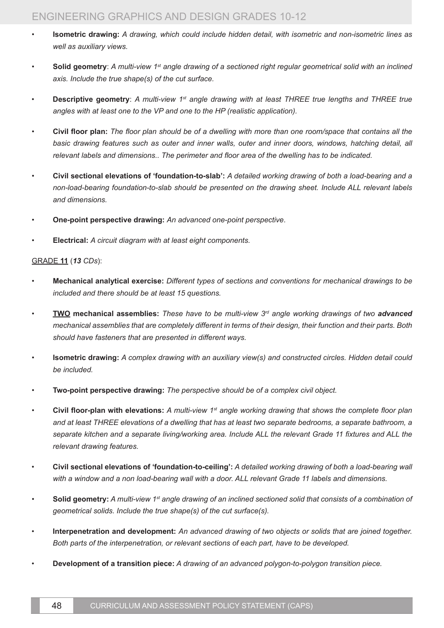- **Isometric drawing:** *A drawing, which could include hidden detail, with isometric and non-isometric lines as well as auxiliary views.*
- Solid geometry: A multi-view 1<sup>st</sup> angle drawing of a sectioned right regular geometrical solid with an inclined *axis. Include the true shape(s) of the cut surface.*
- **Descriptive geometry**: *A multi-view 1st angle drawing with at least THREE true lengths and THREE true angles with at least one to the VP and one to the HP (realistic application).*
- Civil floor plan: The floor plan should be of a dwelling with more than one room/space that contains all the basic drawing features such as outer and inner walls, outer and inner doors, windows, hatching detail, all *relevant labels and dimensions.. The perimeter and floor area of the dwelling has to be indicated.*
- **Civil sectional elevations of 'foundation-to-slab':** *A detailed working drawing of both a load-bearing and a non-load-bearing foundation-to-slab should be presented on the drawing sheet. Include ALL relevant labels and dimensions.*
- **One-point perspective drawing:** *An advanced one-point perspective*.
- **Electrical:** *A circuit diagram with at least eight components.*

#### GRADE **11** (*13 CDs*):

- **Mechanical analytical exercise:** *Different types of sections and conventions for mechanical drawings to be included and there should be at least 15 questions.*
- **TWO mechanical assemblies:** *These have to be multi-view 3rd angle working drawings of two advanced mechanical assemblies that are completely different in terms of their design, their function and their parts. Both should have fasteners that are presented in different ways.*
- **Isometric drawing:** *A complex drawing with an auxiliary view(s) and constructed circles. Hidden detail could be included.*
- **Two-point perspective drawing:** *The perspective should be of a complex civil object.*
- Civil floor-plan with elevations: A multi-view  $1<sup>st</sup>$  angle working drawing that shows the complete floor plan and at least THREE elevations of a dwelling that has at least two separate bedrooms, a separate bathroom, a separate kitchen and a separate living/working area. Include ALL the relevant Grade 11 fixtures and ALL the *relevant drawing features.*
- **Civil sectional elevations of 'foundation-to-ceiling':** *A detailed working drawing of both a load-bearing wall with a window and a non load-bearing wall with a door. all relevant Grade 11 labels and dimensions.*
- Solid geometry: A multi-view 1<sup>st</sup> angle drawing of an inclined sectioned solid that consists of a combination of *geometrical solids. Include the true shape(s) of the cut surface(s).*
- **Interpenetration and development:** *An advanced drawing of two objects or solids that are joined together. Both parts of the interpenetration, or relevant sections of each part, have to be developed.*
- **Development of a transition piece:** *A drawing of an advanced polygon-to-polygon transition piece.*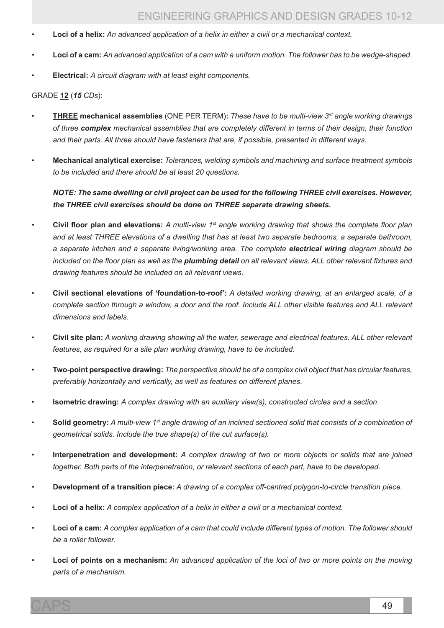- **Loci of a helix:** *An advanced application of a helix in either a civil or a mechanical context.*
- Loci of a cam: An advanced application of a cam with a uniform motion. The follower has to be wedge-shaped.
- **Electrical:** *A circuit diagram with at least eight components.*

#### GRADE **12** (*15 CDs*):

- **THREE mechanical assemblies** (one per term)**:** *These have to be multi-view 3rd angle working drawings of three complex mechanical assemblies that are completely different in terms of their design, their function and their parts. All three should have fasteners that are, if possible, presented in different ways.*
- **Mechanical analytical exercise:** *Tolerances, welding symbols and machining and surface treatment symbols to be included and there should be at least 20 questions.*

*NOTE: The same dwelling or civil project can be used for the following THREE civil exercises. However, the THREE civil exercises should be done on THREE separate drawing sheets.*

- Civil floor plan and elevations: A multi-view 1<sup>st</sup> angle working drawing that shows the complete floor plan and at least THREE elevations of a dwelling that has at least two separate bedrooms, a separate bathroom, *a separate kitchen and a separate living/working area. The complete electrical wiring diagram should be*  included on the floor plan as well as the plumbing detail on all relevant views. ALL other relevant fixtures and *drawing features should be included on all relevant views.*
- **Civil sectional elevations of 'foundation-to-roof':** *A detailed working drawing, at an enlarged scale, of a complete section through a window, a door and the roof. Include all other visible features and ALL relevant dimensions and labels.*
- **Civil site plan:** *A working drawing showing all the water, sewerage and electrical features. ALL other relevant features, as required for a site plan working drawing, have to be included.*
- **Two-point perspective drawing:** *The perspective should be of a complex civil object that has circular features, preferably horizontally and vertically, as well as features on different planes*.
- **Isometric drawing:** *A complex drawing with an auxiliary view(s), constructed circles and a section.*
- Solid geometry: A multi-view 1<sup>st</sup> angle drawing of an inclined sectioned solid that consists of a combination of *geometrical solids. Include the true shape(s) of the cut surface(s).*
- **Interpenetration and development:** *A complex drawing of two or more objects or solids that are joined together. Both parts of the interpenetration, or relevant sections of each part, have to be developed.*
- **Development of a transition piece:** *A drawing of a complex off-centred polygon-to-circle transition piece.*
- **Loci of a helix:** *A complex application of a helix in either a civil or a mechanical context.*
- Loci of a cam: A complex application of a cam that could include different types of motion. The follower should *be a roller follower.*
- **Loci of points on a mechanism:** *An advanced application of the loci of two or more points on the moving parts of a mechanism.*

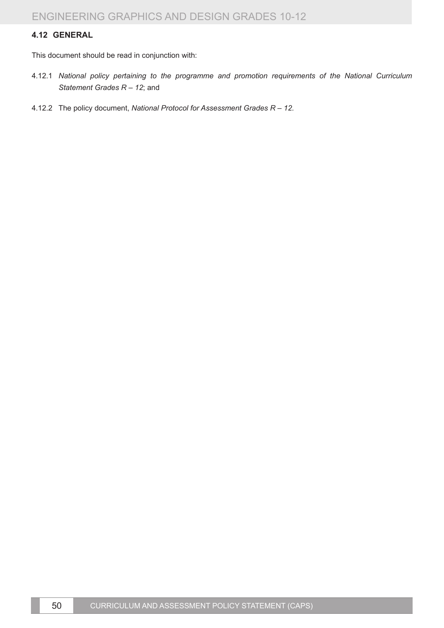#### **4.12 GENERAL**

This document should be read in conjunction with:

- 4.12.1 *National policy pertaining to the programme and promotion requirements of the National Curriculum Statement Grades R – 12*; and
- 4.12.2 The policy document, *National Protocol for Assessment Grades R 12.*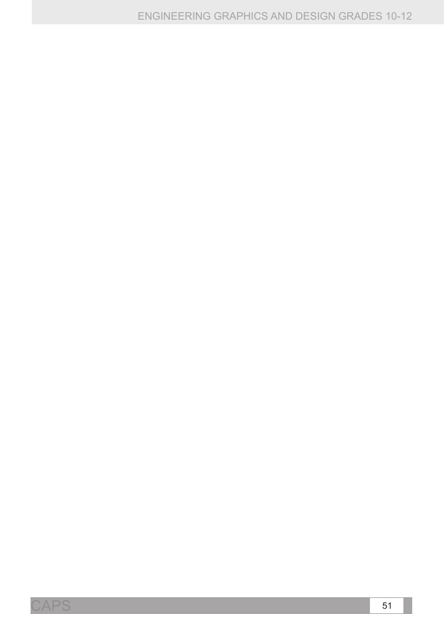